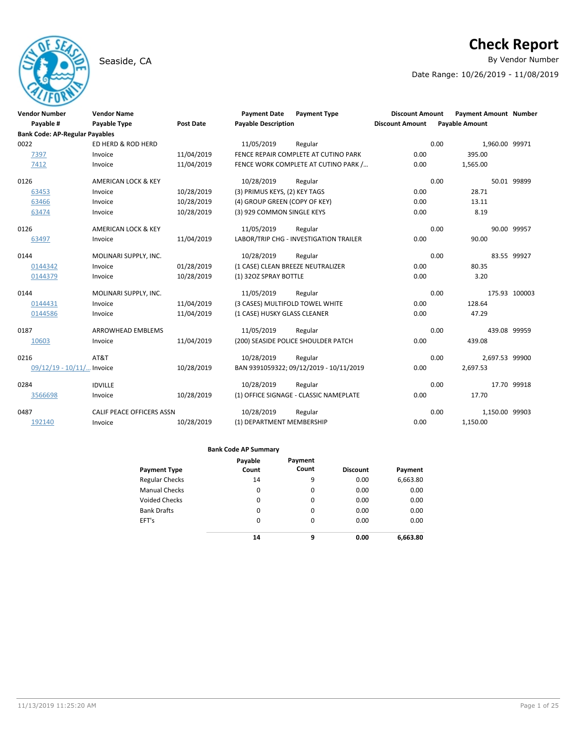# **Check Report**

Seaside, CA **By Vendor Number** 

Date Range: 10/26/2019 - 11/08/2019

| <b>Vendor Number</b>                          | <b>Vendor Name</b>             |                  | <b>Payment Date</b>               | <b>Payment Type</b>                     | <b>Discount Amount</b> |      | <b>Payment Amount Number</b> |               |
|-----------------------------------------------|--------------------------------|------------------|-----------------------------------|-----------------------------------------|------------------------|------|------------------------------|---------------|
| Payable #                                     | Payable Type                   | <b>Post Date</b> | <b>Payable Description</b>        |                                         | <b>Discount Amount</b> |      | <b>Payable Amount</b>        |               |
| <b>Bank Code: AP-Regular Payables</b><br>0022 | ED HERD & ROD HERD             |                  | 11/05/2019                        |                                         |                        | 0.00 |                              |               |
|                                               |                                |                  |                                   | Regular                                 |                        |      | 1,960.00 99971               |               |
| 7397                                          | Invoice                        | 11/04/2019       |                                   | FENCE REPAIR COMPLETE AT CUTINO PARK    | 0.00                   |      | 395.00                       |               |
| 7412                                          | Invoice                        | 11/04/2019       |                                   | FENCE WORK COMPLETE AT CUTINO PARK /    | 0.00                   |      | 1,565.00                     |               |
| 0126                                          | AMERICAN LOCK & KEY            |                  | 10/28/2019                        | Regular                                 |                        | 0.00 |                              | 50.01 99899   |
| 63453                                         | Invoice                        | 10/28/2019       | (3) PRIMUS KEYS, (2) KEY TAGS     |                                         | 0.00                   |      | 28.71                        |               |
| 63466                                         | Invoice                        | 10/28/2019       | (4) GROUP GREEN (COPY OF KEY)     |                                         | 0.00                   |      | 13.11                        |               |
| 63474                                         | Invoice                        | 10/28/2019       | (3) 929 COMMON SINGLE KEYS        |                                         | 0.00                   |      | 8.19                         |               |
| 0126                                          | <b>AMERICAN LOCK &amp; KEY</b> |                  | 11/05/2019                        | Regular                                 |                        | 0.00 |                              | 90.00 99957   |
| 63497                                         | Invoice                        | 11/04/2019       |                                   | LABOR/TRIP CHG - INVESTIGATION TRAILER  | 0.00                   |      | 90.00                        |               |
| 0144                                          | MOLINARI SUPPLY, INC.          |                  | 10/28/2019                        | Regular                                 |                        | 0.00 |                              | 83.55 99927   |
| 0144342                                       | Invoice                        | 01/28/2019       | (1 CASE) CLEAN BREEZE NEUTRALIZER |                                         | 0.00                   |      | 80.35                        |               |
| 0144379                                       | Invoice                        | 10/28/2019       | (1) 32OZ SPRAY BOTTLE             |                                         | 0.00                   |      | 3.20                         |               |
| 0144                                          | MOLINARI SUPPLY, INC.          |                  | 11/05/2019                        | Regular                                 |                        | 0.00 |                              | 175.93 100003 |
| 0144431                                       | Invoice                        | 11/04/2019       | (3 CASES) MULTIFOLD TOWEL WHITE   |                                         | 0.00                   |      | 128.64                       |               |
| 0144586                                       | Invoice                        | 11/04/2019       | (1 CASE) HUSKY GLASS CLEANER      |                                         | 0.00                   |      | 47.29                        |               |
| 0187                                          | <b>ARROWHEAD EMBLEMS</b>       |                  | 11/05/2019                        | Regular                                 |                        | 0.00 | 439.08 99959                 |               |
| 10603                                         | Invoice                        | 11/04/2019       |                                   | (200) SEASIDE POLICE SHOULDER PATCH     | 0.00                   |      | 439.08                       |               |
| 0216                                          | AT&T                           |                  | 10/28/2019                        | Regular                                 |                        | 0.00 | 2,697.53 99900               |               |
| 09/12/19 - 10/11/ Invoice                     |                                | 10/28/2019       |                                   | BAN 9391059322; 09/12/2019 - 10/11/2019 | 0.00                   |      | 2.697.53                     |               |
| 0284                                          | <b>IDVILLE</b>                 |                  | 10/28/2019                        | Regular                                 |                        | 0.00 |                              | 17.70 99918   |
| 3566698                                       | Invoice                        | 10/28/2019       |                                   | (1) OFFICE SIGNAGE - CLASSIC NAMEPLATE  | 0.00                   |      | 17.70                        |               |
| 0487                                          | CALIF PEACE OFFICERS ASSN      |                  | 10/28/2019                        | Regular                                 |                        | 0.00 | 1,150.00 99903               |               |
| 192140                                        | Invoice                        | 10/28/2019       | (1) DEPARTMENT MEMBERSHIP         |                                         | 0.00                   |      | 1,150.00                     |               |

|                       | Payable  | Payment  |                 |          |
|-----------------------|----------|----------|-----------------|----------|
| <b>Payment Type</b>   | Count    | Count    | <b>Discount</b> | Payment  |
| <b>Regular Checks</b> | 14       | 9        | 0.00            | 6,663.80 |
| <b>Manual Checks</b>  | 0        | 0        | 0.00            | 0.00     |
| <b>Voided Checks</b>  | 0        | 0        | 0.00            | 0.00     |
| <b>Bank Drafts</b>    | 0        | 0        | 0.00            | 0.00     |
| EFT's                 | $\Omega$ | $\Omega$ | 0.00            | 0.00     |
|                       | 14       | 9        | 0.00            | 6.663.80 |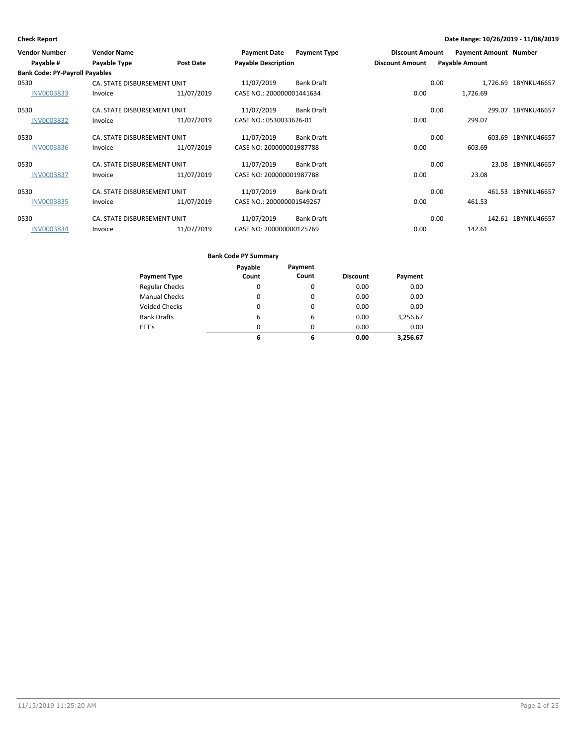| <b>Vendor Number</b>                  | <b>Vendor Name</b>          |            | <b>Payment Date</b>        | <b>Payment Type</b> | <b>Discount Amount</b> |      | <b>Payment Amount Number</b> |                      |
|---------------------------------------|-----------------------------|------------|----------------------------|---------------------|------------------------|------|------------------------------|----------------------|
| Payable #                             | Payable Type                | Post Date  | <b>Payable Description</b> |                     | <b>Discount Amount</b> |      | <b>Payable Amount</b>        |                      |
| <b>Bank Code: PY-Payroll Payables</b> |                             |            |                            |                     |                        |      |                              |                      |
| 0530                                  | CA. STATE DISBURSEMENT UNIT |            | 11/07/2019                 | <b>Bank Draft</b>   |                        | 0.00 |                              | 1.726.69 1BYNKU46657 |
| INV0003833                            | Invoice                     | 11/07/2019 | CASE NO.: 200000001441634  |                     | 0.00                   |      | 1,726.69                     |                      |
| 0530                                  | CA. STATE DISBURSEMENT UNIT |            | 11/07/2019                 | <b>Bank Draft</b>   |                        | 0.00 |                              | 299.07 1BYNKU46657   |
| <b>INV0003832</b>                     | Invoice                     | 11/07/2019 | CASE NO.: 0530033626-01    |                     | 0.00                   |      | 299.07                       |                      |
| 0530                                  | CA. STATE DISBURSEMENT UNIT |            | 11/07/2019                 | <b>Bank Draft</b>   |                        | 0.00 | 603.69                       | 1BYNKU46657          |
| <b>INV0003836</b>                     | Invoice                     | 11/07/2019 | CASE NO: 200000001987788   |                     | 0.00                   |      | 603.69                       |                      |
| 0530                                  | CA. STATE DISBURSEMENT UNIT |            | 11/07/2019                 | <b>Bank Draft</b>   |                        | 0.00 |                              | 23.08 1BYNKU46657    |
| <b>INV0003837</b>                     | Invoice                     | 11/07/2019 | CASE NO: 200000001987788   |                     | 0.00                   |      | 23.08                        |                      |
| 0530                                  | CA. STATE DISBURSEMENT UNIT |            | 11/07/2019                 | <b>Bank Draft</b>   |                        | 0.00 |                              | 461.53 1BYNKU46657   |
| <b>INV0003835</b>                     | Invoice                     | 11/07/2019 | CASE NO.: 200000001549267  |                     | 0.00                   |      | 461.53                       |                      |
| 0530                                  | CA. STATE DISBURSEMENT UNIT |            | 11/07/2019                 | <b>Bank Draft</b>   |                        | 0.00 |                              | 142.61 1BYNKU46657   |
| <b>INV0003834</b>                     | Invoice                     | 11/07/2019 | CASE NO: 200000000125769   |                     | 0.00                   |      | 142.61                       |                      |

|                       | Payable  | Payment  |                 |          |
|-----------------------|----------|----------|-----------------|----------|
| <b>Payment Type</b>   | Count    | Count    | <b>Discount</b> | Payment  |
| <b>Regular Checks</b> | 0        | 0        | 0.00            | 0.00     |
| <b>Manual Checks</b>  | $\Omega$ | $\Omega$ | 0.00            | 0.00     |
| <b>Voided Checks</b>  | 0        | $\Omega$ | 0.00            | 0.00     |
| <b>Bank Drafts</b>    | 6        | 6        | 0.00            | 3,256.67 |
| EFT's                 | $\Omega$ | $\Omega$ | 0.00            | 0.00     |
|                       | 6        | 6        | 0.00            | 3.256.67 |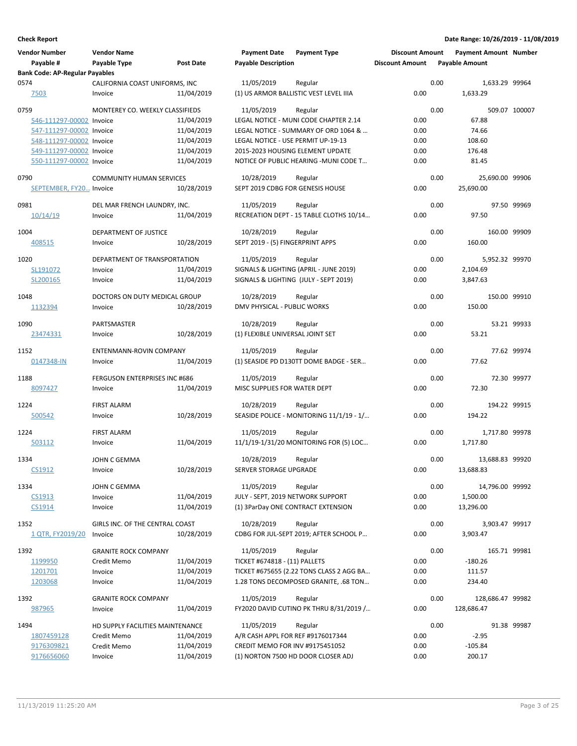| <b>Vendor Number</b>                  | <b>Vendor Name</b>                   |            | <b>Payment Date</b>                | <b>Payment Type</b>                               | <b>Discount Amount</b> |      | <b>Payment Amount Number</b> |               |
|---------------------------------------|--------------------------------------|------------|------------------------------------|---------------------------------------------------|------------------------|------|------------------------------|---------------|
| Payable #                             | Payable Type                         | Post Date  | <b>Payable Description</b>         |                                                   | <b>Discount Amount</b> |      | <b>Payable Amount</b>        |               |
| <b>Bank Code: AP-Regular Payables</b> |                                      |            |                                    |                                                   |                        |      |                              |               |
| 0574                                  | CALIFORNIA COAST UNIFORMS, INC       |            | 11/05/2019                         | Regular                                           |                        | 0.00 | 1,633.29 99964               |               |
| <u>7503</u>                           | Invoice                              | 11/04/2019 |                                    | (1) US ARMOR BALLISTIC VEST LEVEL IIIA            | 0.00                   |      | 1,633.29                     |               |
| 0759                                  | MONTEREY CO. WEEKLY CLASSIFIEDS      |            | 11/05/2019                         | Regular                                           |                        | 0.00 |                              | 509.07 100007 |
| 546-111297-00002 Invoice              |                                      | 11/04/2019 |                                    | LEGAL NOTICE - MUNI CODE CHAPTER 2.14             | 0.00                   |      | 67.88                        |               |
| 547-111297-00002 Invoice              |                                      | 11/04/2019 |                                    | LEGAL NOTICE - SUMMARY OF ORD 1064 &              | 0.00                   |      | 74.66                        |               |
| 548-111297-00002 Invoice              |                                      | 11/04/2019 | LEGAL NOTICE - USE PERMIT UP-19-13 |                                                   | 0.00                   |      | 108.60                       |               |
| 549-111297-00002 Invoice              |                                      | 11/04/2019 |                                    | 2015-2023 HOUSING ELEMENT UPDATE                  | 0.00                   |      | 176.48                       |               |
| 550-111297-00002 Invoice              |                                      | 11/04/2019 |                                    | NOTICE OF PUBLIC HEARING - MUNI CODE T            | 0.00                   |      | 81.45                        |               |
| 0790                                  | <b>COMMUNITY HUMAN SERVICES</b>      |            | 10/28/2019                         | Regular                                           |                        | 0.00 | 25,690.00 99906              |               |
| SEPTEMBER, FY20 Invoice               |                                      | 10/28/2019 | SEPT 2019 CDBG FOR GENESIS HOUSE   |                                                   | 0.00                   |      | 25,690.00                    |               |
|                                       |                                      |            |                                    |                                                   |                        |      |                              |               |
| 0981                                  | DEL MAR FRENCH LAUNDRY, INC.         |            | 11/05/2019                         | Regular                                           |                        | 0.00 |                              | 97.50 99969   |
| 10/14/19                              | Invoice                              | 11/04/2019 |                                    | RECREATION DEPT - 15 TABLE CLOTHS 10/14           | 0.00                   |      | 97.50                        |               |
| 1004                                  | DEPARTMENT OF JUSTICE                |            | 10/28/2019                         | Regular                                           |                        | 0.00 | 160.00 99909                 |               |
| 408515                                | Invoice                              | 10/28/2019 | SEPT 2019 - (5) FINGERPRINT APPS   |                                                   | 0.00                   |      | 160.00                       |               |
|                                       |                                      |            |                                    |                                                   |                        |      |                              |               |
| 1020                                  | DEPARTMENT OF TRANSPORTATION         |            | 11/05/2019                         | Regular                                           |                        | 0.00 | 5,952.32 99970               |               |
| SL191072                              | Invoice                              | 11/04/2019 |                                    | SIGNALS & LIGHTING (APRIL - JUNE 2019)            | 0.00                   |      | 2,104.69                     |               |
| SL200165                              | Invoice                              | 11/04/2019 |                                    | SIGNALS & LIGHTING (JULY - SEPT 2019)             | 0.00                   |      | 3,847.63                     |               |
| 1048                                  | DOCTORS ON DUTY MEDICAL GROUP        |            | 10/28/2019                         | Regular                                           |                        | 0.00 | 150.00 99910                 |               |
| 1132394                               | Invoice                              | 10/28/2019 | DMV PHYSICAL - PUBLIC WORKS        |                                                   | 0.00                   |      | 150.00                       |               |
|                                       |                                      |            |                                    |                                                   |                        |      |                              |               |
| 1090                                  | PARTSMASTER                          |            | 10/28/2019                         | Regular                                           |                        | 0.00 |                              | 53.21 99933   |
| 23474331                              | Invoice                              | 10/28/2019 | (1) FLEXIBLE UNIVERSAL JOINT SET   |                                                   | 0.00                   |      | 53.21                        |               |
| 1152                                  | ENTENMANN-ROVIN COMPANY              |            | 11/05/2019                         | Regular                                           |                        | 0.00 |                              | 77.62 99974   |
| 0147348-IN                            | Invoice                              | 11/04/2019 |                                    | (1) SEASIDE PD D130TT DOME BADGE - SER            | 0.00                   |      | 77.62                        |               |
|                                       |                                      |            |                                    |                                                   |                        |      |                              |               |
| 1188                                  | <b>FERGUSON ENTERPRISES INC #686</b> |            | 11/05/2019                         | Regular                                           |                        | 0.00 |                              | 72.30 99977   |
| 8097427                               | Invoice                              | 11/04/2019 | MISC SUPPLIES FOR WATER DEPT       |                                                   | 0.00                   |      | 72.30                        |               |
| 1224                                  | <b>FIRST ALARM</b>                   |            | 10/28/2019                         | Regular                                           |                        | 0.00 | 194.22 99915                 |               |
| 500542                                | Invoice                              | 10/28/2019 |                                    | SEASIDE POLICE - MONITORING 11/1/19 - 1/          | 0.00                   |      | 194.22                       |               |
|                                       | <b>FIRST ALARM</b>                   |            |                                    |                                                   |                        | 0.00 |                              |               |
| 1224<br>503112                        | Invoice                              | 11/04/2019 | 11/05/2019                         | Regular<br>11/1/19-1/31/20 MONITORING FOR (5) LOC | 0.00                   |      | 1,717.80 99978<br>1.717.80   |               |
|                                       |                                      |            |                                    |                                                   |                        |      |                              |               |
| 1334                                  | JOHN C GEMMA                         |            | 10/28/2019                         | Regular                                           |                        | 0.00 | 13.688.83 99920              |               |
| <u>CS1912</u>                         | Invoice                              | 10/28/2019 | SERVER STORAGE UPGRADE             |                                                   | 0.00                   |      | 13,688.83                    |               |
| 1334                                  | JOHN C GEMMA                         |            | 11/05/2019                         | Regular                                           |                        | 0.00 | 14,796.00 99992              |               |
| CS1913                                | Invoice                              | 11/04/2019 | JULY - SEPT, 2019 NETWORK SUPPORT  |                                                   | 0.00                   |      | 1,500.00                     |               |
| CS1914                                | Invoice                              | 11/04/2019 |                                    | (1) 3ParDay ONE CONTRACT EXTENSION                | 0.00                   |      | 13,296.00                    |               |
|                                       |                                      |            |                                    |                                                   |                        |      |                              |               |
| 1352                                  | GIRLS INC. OF THE CENTRAL COAST      |            | 10/28/2019                         | Regular                                           |                        | 0.00 | 3,903.47 99917               |               |
| 1 QTR, FY2019/20                      | Invoice                              | 10/28/2019 |                                    | CDBG FOR JUL-SEPT 2019; AFTER SCHOOL P            | 0.00                   |      | 3,903.47                     |               |
| 1392                                  | <b>GRANITE ROCK COMPANY</b>          |            | 11/05/2019                         | Regular                                           |                        | 0.00 | 165.71 99981                 |               |
| 1199950                               | Credit Memo                          | 11/04/2019 | TICKET #674818 - (11) PALLETS      |                                                   | 0.00                   |      | $-180.26$                    |               |
| 1201701                               | Invoice                              | 11/04/2019 |                                    | TICKET #675655 (2.22 TONS CLASS 2 AGG BA          | 0.00                   |      | 111.57                       |               |
| 1203068                               | Invoice                              | 11/04/2019 |                                    | 1.28 TONS DECOMPOSED GRANITE, .68 TON             | 0.00                   |      | 234.40                       |               |
|                                       |                                      |            |                                    |                                                   |                        |      |                              |               |
| 1392                                  | <b>GRANITE ROCK COMPANY</b>          |            | 11/05/2019                         | Regular                                           |                        | 0.00 | 128,686.47 99982             |               |
| 987965                                | Invoice                              | 11/04/2019 |                                    | FY2020 DAVID CUTINO PK THRU 8/31/2019 /           | 0.00                   |      | 128,686.47                   |               |
| 1494                                  | HD SUPPLY FACILITIES MAINTENANCE     |            | 11/05/2019                         | Regular                                           |                        | 0.00 |                              | 91.38 99987   |
| 1807459128                            | Credit Memo                          | 11/04/2019 | A/R CASH APPL FOR REF #9176017344  |                                                   | 0.00                   |      | $-2.95$                      |               |
| 9176309821                            | Credit Memo                          | 11/04/2019 | CREDIT MEMO FOR INV #9175451052    |                                                   | 0.00                   |      | $-105.84$                    |               |
| 9176656060                            | Invoice                              | 11/04/2019 |                                    | (1) NORTON 7500 HD DOOR CLOSER ADJ                | 0.00                   |      | 200.17                       |               |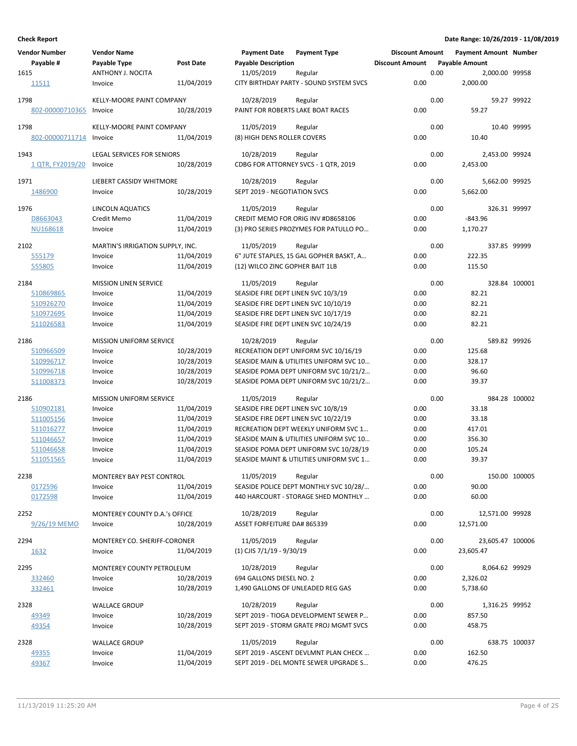| <b>Vendor Number</b><br>Payable # | <b>Vendor Name</b><br>Payable Type           | Post Date  | <b>Payment Date</b><br><b>Payable Description</b> | <b>Payment Type</b>                                | <b>Discount Amount</b><br><b>Discount Amount</b> |      | <b>Payment Amount Number</b><br><b>Payable Amount</b> |               |
|-----------------------------------|----------------------------------------------|------------|---------------------------------------------------|----------------------------------------------------|--------------------------------------------------|------|-------------------------------------------------------|---------------|
| 1615<br>11511                     | ANTHONY J. NOCITA<br>Invoice                 | 11/04/2019 | 11/05/2019                                        | Regular<br>CITY BIRTHDAY PARTY - SOUND SYSTEM SVCS | 0.00                                             | 0.00 | 2,000.00 99958<br>2,000.00                            |               |
|                                   |                                              |            |                                                   |                                                    |                                                  |      |                                                       |               |
| 1798<br>802-00000710365           | <b>KELLY-MOORE PAINT COMPANY</b><br>Invoice  | 10/28/2019 | 10/28/2019<br>PAINT FOR ROBERTS LAKE BOAT RACES   | Regular                                            | 0.00                                             | 0.00 | 59.27                                                 | 59.27 99922   |
| 1798<br>802-00000711714           | KELLY-MOORE PAINT COMPANY<br>Invoice         | 11/04/2019 | 11/05/2019<br>(8) HIGH DENS ROLLER COVERS         | Regular                                            | 0.00                                             | 0.00 | 10.40                                                 | 10.40 99995   |
|                                   |                                              |            |                                                   |                                                    |                                                  |      |                                                       |               |
| 1943<br>1 QTR, FY2019/20          | <b>LEGAL SERVICES FOR SENIORS</b><br>Invoice | 10/28/2019 | 10/28/2019                                        | Regular<br>CDBG FOR ATTORNEY SVCS - 1 QTR, 2019    | 0.00                                             | 0.00 | 2,453.00 99924<br>2,453.00                            |               |
| 1971                              | LIEBERT CASSIDY WHITMORE                     |            | 10/28/2019                                        | Regular                                            |                                                  | 0.00 | 5,662.00 99925                                        |               |
| 1486900                           | Invoice                                      | 10/28/2019 | SEPT 2019 - NEGOTIATION SVCS                      |                                                    | 0.00                                             |      | 5,662.00                                              |               |
| 1976                              | <b>LINCOLN AQUATICS</b>                      |            | 11/05/2019                                        | Regular                                            |                                                  | 0.00 | 326.31 99997                                          |               |
| D8663043                          | Credit Memo                                  | 11/04/2019 |                                                   | CREDIT MEMO FOR ORIG INV #D8658106                 | 0.00                                             |      | $-843.96$                                             |               |
| NU168618                          | Invoice                                      | 11/04/2019 |                                                   | (3) PRO SERIES PROZYMES FOR PATULLO PO             | 0.00                                             |      | 1,170.27                                              |               |
| 2102                              | MARTIN'S IRRIGATION SUPPLY, INC.             |            | 11/05/2019                                        | Regular                                            |                                                  | 0.00 | 337.85 99999                                          |               |
| 555179                            | Invoice                                      | 11/04/2019 |                                                   | 6" JUTE STAPLES, 15 GAL GOPHER BASKT, A            | 0.00                                             |      | 222.35                                                |               |
| 555805                            | Invoice                                      | 11/04/2019 | (12) WILCO ZINC GOPHER BAIT 1LB                   |                                                    | 0.00                                             |      | 115.50                                                |               |
| 2184                              | <b>MISSION LINEN SERVICE</b>                 |            | 11/05/2019                                        | Regular                                            |                                                  | 0.00 |                                                       | 328.84 100001 |
| 510869865                         | Invoice                                      | 11/04/2019 | SEASIDE FIRE DEPT LINEN SVC 10/3/19               |                                                    | 0.00                                             |      | 82.21                                                 |               |
| 510926270                         | Invoice                                      | 11/04/2019 | SEASIDE FIRE DEPT LINEN SVC 10/10/19              |                                                    | 0.00                                             |      | 82.21                                                 |               |
| 510972695                         | Invoice                                      | 11/04/2019 | SEASIDE FIRE DEPT LINEN SVC 10/17/19              |                                                    | 0.00                                             |      | 82.21                                                 |               |
| 511026583                         | Invoice                                      | 11/04/2019 | SEASIDE FIRE DEPT LINEN SVC 10/24/19              |                                                    | 0.00                                             |      | 82.21                                                 |               |
| 2186                              | <b>MISSION UNIFORM SERVICE</b>               |            | 10/28/2019                                        | Regular                                            |                                                  | 0.00 | 589.82 99926                                          |               |
| 510966509                         | Invoice                                      | 10/28/2019 |                                                   | RECREATION DEPT UNIFORM SVC 10/16/19               | 0.00                                             |      | 125.68                                                |               |
| 510996717                         | Invoice                                      | 10/28/2019 |                                                   | SEASIDE MAIN & UTILITIES UNIFORM SVC 10            | 0.00                                             |      | 328.17                                                |               |
| 510996718                         | Invoice                                      | 10/28/2019 |                                                   | SEASIDE POMA DEPT UNIFORM SVC 10/21/2              | 0.00                                             |      | 96.60                                                 |               |
| 511008373                         | Invoice                                      | 10/28/2019 |                                                   | SEASIDE POMA DEPT UNIFORM SVC 10/21/2              | 0.00                                             |      | 39.37                                                 |               |
| 2186                              | <b>MISSION UNIFORM SERVICE</b>               |            | 11/05/2019                                        | Regular                                            |                                                  | 0.00 |                                                       | 984.28 100002 |
| 510902181                         | Invoice                                      | 11/04/2019 | SEASIDE FIRE DEPT LINEN SVC 10/8/19               |                                                    | 0.00                                             |      | 33.18                                                 |               |
| 511005156                         | Invoice                                      | 11/04/2019 | SEASIDE FIRE DEPT LINEN SVC 10/22/19              |                                                    | 0.00                                             |      | 33.18                                                 |               |
| 511016277                         | Invoice                                      | 11/04/2019 |                                                   | RECREATION DEPT WEEKLY UNIFORM SVC 1               | 0.00                                             |      | 417.01                                                |               |
| 511046657                         | Invoice                                      | 11/04/2019 |                                                   | SEASIDE MAIN & UTILITIES UNIFORM SVC 10            | 0.00                                             |      | 356.30                                                |               |
| 511046658                         | Invoice                                      | 11/04/2019 |                                                   | SEASIDE POMA DEPT UNIFORM SVC 10/28/19             | 0.00                                             |      | 105.24                                                |               |
| 511051565                         | Invoice                                      | 11/04/2019 |                                                   | SEASIDE MAINT & UTILITIES UNIFORM SVC 1            | 0.00                                             |      | 39.37                                                 |               |
| 2238                              | MONTEREY BAY PEST CONTROL                    |            | 11/05/2019                                        | Regular                                            |                                                  | 0.00 |                                                       | 150.00 100005 |
| 0172596                           | Invoice                                      | 11/04/2019 |                                                   | SEASIDE POLICE DEPT MONTHLY SVC 10/28/             | 0.00                                             |      | 90.00                                                 |               |
| 0172598                           | Invoice                                      | 11/04/2019 |                                                   | 440 HARCOURT - STORAGE SHED MONTHLY                | 0.00                                             |      | 60.00                                                 |               |
| 2252                              | MONTEREY COUNTY D.A.'s OFFICE                |            | 10/28/2019                                        | Regular                                            |                                                  | 0.00 | 12,571.00 99928                                       |               |
| 9/26/19 MEMO                      | Invoice                                      | 10/28/2019 | <b>ASSET FORFEITURE DA# 865339</b>                |                                                    | 0.00                                             |      | 12,571.00                                             |               |
| 2294                              | MONTEREY CO. SHERIFF-CORONER                 |            | 11/05/2019                                        | Regular                                            |                                                  | 0.00 | 23,605.47 100006                                      |               |
| 1632                              | Invoice                                      | 11/04/2019 | $(1)$ CJIS 7/1/19 - 9/30/19                       |                                                    | 0.00                                             |      | 23,605.47                                             |               |
| 2295                              | MONTEREY COUNTY PETROLEUM                    |            | 10/28/2019                                        | Regular                                            |                                                  | 0.00 | 8,064.62 99929                                        |               |
| 332460                            | Invoice                                      | 10/28/2019 | 694 GALLONS DIESEL NO. 2                          |                                                    | 0.00                                             |      | 2,326.02                                              |               |
| 332461                            | Invoice                                      | 10/28/2019 | 1,490 GALLONS OF UNLEADED REG GAS                 |                                                    | 0.00                                             |      | 5,738.60                                              |               |
| 2328                              | <b>WALLACE GROUP</b>                         |            | 10/28/2019                                        | Regular                                            |                                                  | 0.00 | 1,316.25 99952                                        |               |
| 49349                             | Invoice                                      | 10/28/2019 |                                                   | SEPT 2019 - TIOGA DEVELOPMENT SEWER P              | 0.00                                             |      | 857.50                                                |               |
| 49354                             | Invoice                                      | 10/28/2019 |                                                   | SEPT 2019 - STORM GRATE PROJ MGMT SVCS             | 0.00                                             |      | 458.75                                                |               |
| 2328                              | <b>WALLACE GROUP</b>                         |            | 11/05/2019                                        | Regular                                            |                                                  | 0.00 |                                                       | 638.75 100037 |
| 49355                             | Invoice                                      | 11/04/2019 |                                                   | SEPT 2019 - ASCENT DEVLMNT PLAN CHECK              | 0.00                                             |      | 162.50                                                |               |
| 49367                             | Invoice                                      | 11/04/2019 |                                                   | SEPT 2019 - DEL MONTE SEWER UPGRADE S              | 0.00                                             |      | 476.25                                                |               |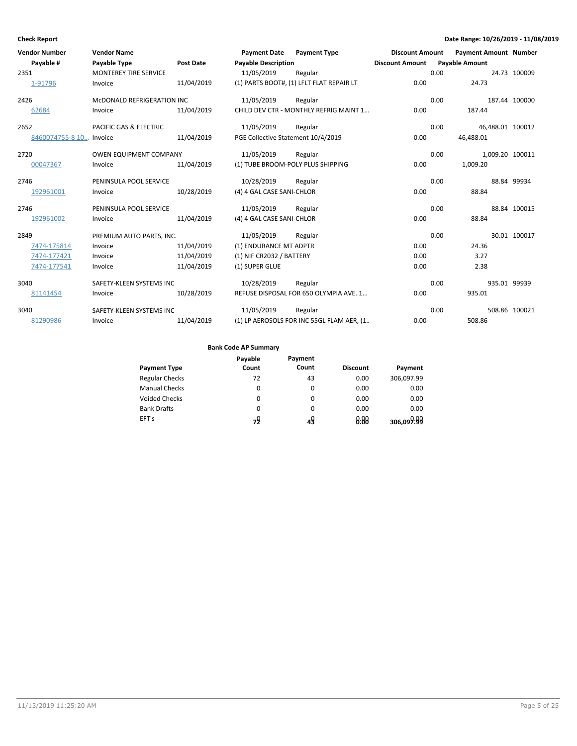| <b>Vendor Number</b>    | <b>Vendor Name</b>                |                  | <b>Payment Date</b>                | <b>Payment Type</b>                       | <b>Discount Amount</b> |      | <b>Payment Amount Number</b> |               |
|-------------------------|-----------------------------------|------------------|------------------------------------|-------------------------------------------|------------------------|------|------------------------------|---------------|
| Pavable #               | <b>Payable Type</b>               | <b>Post Date</b> | <b>Pavable Description</b>         |                                           | <b>Discount Amount</b> |      | <b>Payable Amount</b>        |               |
| 2351                    | <b>MONTEREY TIRE SERVICE</b>      |                  | 11/05/2019                         | Regular                                   |                        | 0.00 |                              | 24.73 100009  |
| 1-91796                 | Invoice                           | 11/04/2019       |                                    | (1) PARTS BOOT#, (1) LFLT FLAT REPAIR LT  | 0.00                   |      | 24.73                        |               |
| 2426                    | MCDONALD REFRIGERATION INC        |                  | 11/05/2019                         | Regular                                   |                        | 0.00 |                              | 187.44 100000 |
| 62684                   | Invoice                           | 11/04/2019       |                                    | CHILD DEV CTR - MONTHLY REFRIG MAINT 1    | 0.00                   |      | 187.44                       |               |
| 2652                    | <b>PACIFIC GAS &amp; ELECTRIC</b> |                  | 11/05/2019                         | Regular                                   |                        | 0.00 | 46,488.01 100012             |               |
| 8460074755-8 10 Invoice |                                   | 11/04/2019       | PGE Collective Statement 10/4/2019 |                                           | 0.00                   |      | 46,488.01                    |               |
| 2720                    | <b>OWEN EQUIPMENT COMPANY</b>     |                  | 11/05/2019                         | Regular                                   |                        | 0.00 | 1,009.20 100011              |               |
| 00047367                | Invoice                           | 11/04/2019       | (1) TUBE BROOM-POLY PLUS SHIPPING  |                                           | 0.00                   |      | 1,009.20                     |               |
| 2746                    | PENINSULA POOL SERVICE            |                  | 10/28/2019                         | Regular                                   |                        | 0.00 |                              | 88.84 99934   |
| 192961001               | Invoice                           | 10/28/2019       | (4) 4 GAL CASE SANI-CHLOR          |                                           | 0.00                   |      | 88.84                        |               |
| 2746                    | PENINSULA POOL SERVICE            |                  | 11/05/2019                         | Regular                                   |                        | 0.00 |                              | 88.84 100015  |
| 192961002               | Invoice                           | 11/04/2019       | (4) 4 GAL CASE SANI-CHLOR          |                                           | 0.00                   |      | 88.84                        |               |
| 2849                    | PREMIUM AUTO PARTS, INC.          |                  | 11/05/2019                         | Regular                                   |                        | 0.00 |                              | 30.01 100017  |
| 7474-175814             | Invoice                           | 11/04/2019       | (1) ENDURANCE MT ADPTR             |                                           | 0.00                   |      | 24.36                        |               |
| 7474-177421             | Invoice                           | 11/04/2019       | (1) NIF CR2032 / BATTERY           |                                           | 0.00                   |      | 3.27                         |               |
| 7474-177541             | Invoice                           | 11/04/2019       | (1) SUPER GLUE                     |                                           | 0.00                   |      | 2.38                         |               |
| 3040                    | SAFETY-KLEEN SYSTEMS INC          |                  | 10/28/2019                         | Regular                                   |                        | 0.00 | 935.01 99939                 |               |
| 81141454                | Invoice                           | 10/28/2019       |                                    | REFUSE DISPOSAL FOR 650 OLYMPIA AVE. 1    | 0.00                   |      | 935.01                       |               |
| 3040                    | SAFETY-KLEEN SYSTEMS INC          |                  | 11/05/2019                         | Regular                                   |                        | 0.00 |                              | 508.86 100021 |
| 81290986                | Invoice                           | 11/04/2019       |                                    | (1) LP AEROSOLS FOR INC 55GL FLAM AER, (1 | 0.00                   |      | 508.86                       |               |

| <b>Payment Type</b>   | Payable<br>Count | Payment<br>Count | <b>Discount</b> | Payment    |
|-----------------------|------------------|------------------|-----------------|------------|
| <b>Regular Checks</b> | 72               | 43               | 0.00            | 306,097.99 |
| <b>Manual Checks</b>  | $\Omega$         | 0                | 0.00            | 0.00       |
| Voided Checks         | 0                | 0                | 0.00            | 0.00       |
| <b>Bank Drafts</b>    | $\Omega$         | $\Omega$         | 0.00            | 0.00       |
| EFT's                 | 79               | 49               | 0.00            | 306,099.99 |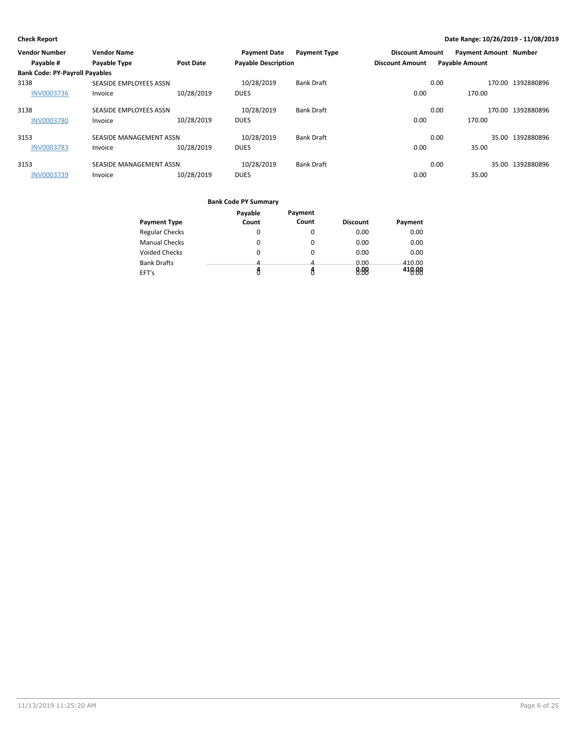| <b>Vendor Number</b>                  | <b>Vendor Name</b>            |                  | <b>Payment Date</b>        | <b>Payment Type</b> | <b>Discount Amount</b> |                       | <b>Payment Amount Number</b> |                   |
|---------------------------------------|-------------------------------|------------------|----------------------------|---------------------|------------------------|-----------------------|------------------------------|-------------------|
| Payable #                             | <b>Payable Type</b>           | <b>Post Date</b> | <b>Payable Description</b> |                     | <b>Discount Amount</b> | <b>Payable Amount</b> |                              |                   |
| <b>Bank Code: PY-Payroll Payables</b> |                               |                  |                            |                     |                        |                       |                              |                   |
| 3138                                  | SEASIDE EMPLOYEES ASSN        |                  | 10/28/2019                 | <b>Bank Draft</b>   |                        | 0.00                  |                              | 170.00 1392880896 |
| INV0003736                            | Invoice                       | 10/28/2019       | <b>DUES</b>                |                     | 0.00                   |                       | 170.00                       |                   |
| 3138                                  | <b>SEASIDE EMPLOYEES ASSN</b> |                  | 10/28/2019                 | <b>Bank Draft</b>   |                        | 0.00                  |                              | 170.00 1392880896 |
| <b>INV0003780</b>                     | Invoice                       | 10/28/2019       | <b>DUES</b>                |                     | 0.00                   |                       | 170.00                       |                   |
| 3153                                  | SEASIDE MANAGEMENT ASSN       |                  | 10/28/2019                 | <b>Bank Draft</b>   |                        | 0.00                  |                              | 35.00 1392880896  |
| <b>INV0003783</b>                     | Invoice                       | 10/28/2019       | <b>DUES</b>                |                     | 0.00                   |                       | 35.00                        |                   |
| 3153                                  | SEASIDE MANAGEMENT ASSN       |                  | 10/28/2019                 | <b>Bank Draft</b>   |                        | 0.00                  |                              | 35.00 1392880896  |
| <b>INV0003739</b>                     | Invoice                       | 10/28/2019       | <b>DUES</b>                |                     | 0.00                   |                       | 35.00                        |                   |

| <b>Payment Type</b>   | Payable<br>Count | Payment<br>Count | <b>Discount</b> | Payment |
|-----------------------|------------------|------------------|-----------------|---------|
|                       |                  |                  |                 |         |
| <b>Regular Checks</b> | 0                | O                | 0.00            | 0.00    |
| <b>Manual Checks</b>  | 0                |                  | 0.00            | 0.00    |
| <b>Voided Checks</b>  | 0                | 0                | 0.00            | 0.00    |
| <b>Bank Drafts</b>    | Δ.               | 4                | 0.00            | 410.00  |
| EFT's                 |                  |                  | 8:88            | 418.88  |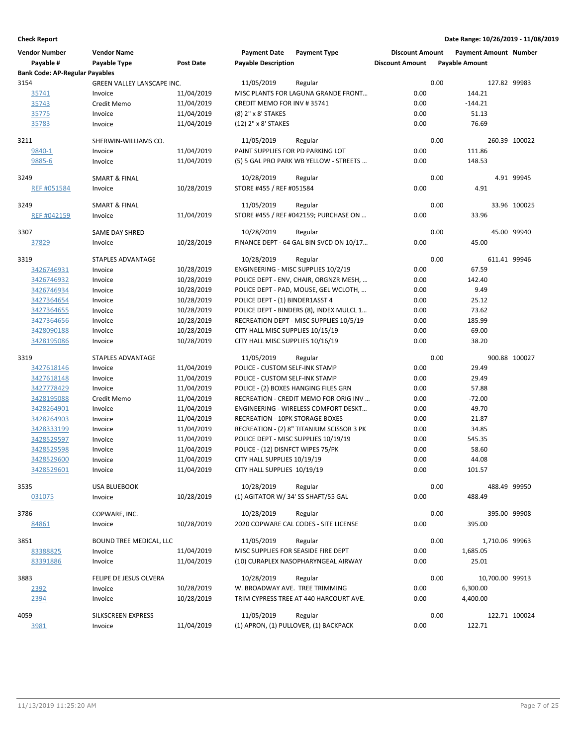| <b>Vendor Number</b>                  | <b>Vendor Name</b>         |            | <b>Payment Date</b>                    | <b>Payment Type</b>                         | <b>Discount Amount</b> |      | <b>Payment Amount Number</b> |               |
|---------------------------------------|----------------------------|------------|----------------------------------------|---------------------------------------------|------------------------|------|------------------------------|---------------|
| Payable #                             | Payable Type               | Post Date  | <b>Payable Description</b>             |                                             | <b>Discount Amount</b> |      | <b>Payable Amount</b>        |               |
| <b>Bank Code: AP-Regular Payables</b> |                            |            |                                        |                                             |                        |      |                              |               |
| 3154                                  | GREEN VALLEY LANSCAPE INC. |            | 11/05/2019                             | Regular                                     |                        | 0.00 | 127.82 99983                 |               |
| 35741                                 | Invoice                    | 11/04/2019 |                                        | MISC PLANTS FOR LAGUNA GRANDE FRONT         | 0.00                   |      | 144.21                       |               |
| 35743                                 | Credit Memo                | 11/04/2019 | CREDIT MEMO FOR INV #35741             |                                             | 0.00                   |      | $-144.21$                    |               |
| 35775                                 | Invoice                    | 11/04/2019 | (8) 2" x 8' STAKES                     |                                             | 0.00                   |      | 51.13                        |               |
| 35783                                 | Invoice                    | 11/04/2019 | (12) 2" x 8' STAKES                    |                                             | 0.00                   |      | 76.69                        |               |
| 3211                                  | SHERWIN-WILLIAMS CO.       |            | 11/05/2019                             | Regular                                     |                        | 0.00 |                              | 260.39 100022 |
| 9840-1                                | Invoice                    | 11/04/2019 | PAINT SUPPLIES FOR PD PARKING LOT      |                                             | 0.00                   |      | 111.86                       |               |
| 9885-6                                | Invoice                    | 11/04/2019 |                                        | (5) 5 GAL PRO PARK WB YELLOW - STREETS      | 0.00                   |      | 148.53                       |               |
| 3249                                  | <b>SMART &amp; FINAL</b>   |            | 10/28/2019                             | Regular                                     |                        | 0.00 |                              | 4.91 99945    |
| REF #051584                           | Invoice                    | 10/28/2019 | STORE #455 / REF #051584               |                                             | 0.00                   |      | 4.91                         |               |
|                                       |                            |            |                                        |                                             |                        |      |                              |               |
| 3249                                  | <b>SMART &amp; FINAL</b>   |            | 11/05/2019                             | Regular                                     |                        | 0.00 |                              | 33.96 100025  |
| <b>REF #042159</b>                    | Invoice                    | 11/04/2019 |                                        | STORE #455 / REF #042159; PURCHASE ON       | 0.00                   |      | 33.96                        |               |
| 3307                                  | <b>SAME DAY SHRED</b>      |            | 10/28/2019                             | Regular                                     |                        | 0.00 |                              | 45.00 99940   |
| 37829                                 | Invoice                    | 10/28/2019 |                                        | FINANCE DEPT - 64 GAL BIN SVCD ON 10/17     | 0.00                   |      | 45.00                        |               |
|                                       |                            |            |                                        |                                             |                        |      |                              |               |
| 3319                                  | STAPLES ADVANTAGE          |            | 10/28/2019                             | Regular                                     |                        | 0.00 | 611.41 99946                 |               |
| 3426746931                            | Invoice                    | 10/28/2019 |                                        | ENGINEERING - MISC SUPPLIES 10/2/19         | 0.00                   |      | 67.59                        |               |
| 3426746932                            | Invoice                    | 10/28/2019 |                                        | POLICE DEPT - ENV, CHAIR, ORGNZR MESH,      | 0.00                   |      | 142.40                       |               |
| 3426746934                            | Invoice                    | 10/28/2019 |                                        | POLICE DEPT - PAD, MOUSE, GEL WCLOTH,       | 0.00                   |      | 9.49                         |               |
| 3427364654                            | Invoice                    | 10/28/2019 | POLICE DEPT - (1) BINDER1ASST 4        |                                             | 0.00                   |      | 25.12                        |               |
| 3427364655                            | Invoice                    | 10/28/2019 |                                        | POLICE DEPT - BINDERS (8), INDEX MULCL 1    | 0.00                   |      | 73.62                        |               |
| 3427364656                            | Invoice                    | 10/28/2019 |                                        | RECREATION DEPT - MISC SUPPLIES 10/5/19     | 0.00                   |      | 185.99                       |               |
| 3428090188                            | Invoice                    | 10/28/2019 | CITY HALL MISC SUPPLIES 10/15/19       |                                             | 0.00                   |      | 69.00                        |               |
| 3428195086                            | Invoice                    | 10/28/2019 | CITY HALL MISC SUPPLIES 10/16/19       |                                             | 0.00                   |      | 38.20                        |               |
| 3319                                  | STAPLES ADVANTAGE          |            | 11/05/2019                             | Regular                                     |                        | 0.00 |                              | 900.88 100027 |
| 3427618146                            | Invoice                    | 11/04/2019 | POLICE - CUSTOM SELF-INK STAMP         |                                             | 0.00                   |      | 29.49                        |               |
| 3427618148                            | Invoice                    | 11/04/2019 | POLICE - CUSTOM SELF-INK STAMP         |                                             | 0.00                   |      | 29.49                        |               |
| 3427778429                            | Invoice                    | 11/04/2019 |                                        | POLICE - (2) BOXES HANGING FILES GRN        | 0.00                   |      | 57.88                        |               |
| 3428195088                            | Credit Memo                | 11/04/2019 |                                        | RECREATION - CREDIT MEMO FOR ORIG INV       | 0.00                   |      | $-72.00$                     |               |
| 3428264901                            | Invoice                    | 11/04/2019 |                                        | <b>ENGINEERING - WIRELESS COMFORT DESKT</b> | 0.00                   |      | 49.70                        |               |
| 3428264903                            | Invoice                    | 11/04/2019 | <b>RECREATION - 10PK STORAGE BOXES</b> |                                             | 0.00                   |      | 21.87                        |               |
| 3428333199                            | Invoice                    | 11/04/2019 |                                        | RECREATION - (2) 8" TITANIUM SCISSOR 3 PK   | 0.00                   |      | 34.85                        |               |
| 3428529597                            | Invoice                    | 11/04/2019 |                                        | POLICE DEPT - MISC SUPPLIES 10/19/19        | 0.00                   |      | 545.35                       |               |
| 3428529598                            | Invoice                    | 11/04/2019 | POLICE - (12) DISNFCT WIPES 75/PK      |                                             | 0.00                   |      | 58.60                        |               |
| 3428529600                            | Invoice                    | 11/04/2019 | CITY HALL SUPPLIES 10/19/19            |                                             | 0.00                   |      | 44.08                        |               |
| 3428529601                            | Invoice                    | 11/04/2019 | CITY HALL SUPPLIES 10/19/19            |                                             | 0.00                   |      | 101.57                       |               |
| 3535                                  | USA BLUEBOOK               |            | 10/28/2019                             | Regular                                     |                        | 0.00 | 488.49 99950                 |               |
| 031075                                | Invoice                    | 10/28/2019 | (1) AGITATOR W/34' SS SHAFT/55 GAL     |                                             | 0.00                   |      | 488.49                       |               |
|                                       |                            |            |                                        |                                             |                        |      |                              |               |
| 3786                                  | COPWARE, INC.              |            | 10/28/2019                             | Regular                                     |                        | 0.00 | 395.00 99908                 |               |
| 84861                                 | Invoice                    | 10/28/2019 |                                        | 2020 COPWARE CAL CODES - SITE LICENSE       | 0.00                   |      | 395.00                       |               |
| 3851                                  | BOUND TREE MEDICAL, LLC    |            | 11/05/2019                             | Regular                                     |                        | 0.00 | 1,710.06 99963               |               |
| 83388825                              | Invoice                    | 11/04/2019 | MISC SUPPLIES FOR SEASIDE FIRE DEPT    |                                             | 0.00                   |      | 1,685.05                     |               |
| 83391886                              | Invoice                    | 11/04/2019 |                                        | (10) CURAPLEX NASOPHARYNGEAL AIRWAY         | 0.00                   |      | 25.01                        |               |
| 3883                                  | FELIPE DE JESUS OLVERA     |            | 10/28/2019                             | Regular                                     |                        | 0.00 | 10,700.00 99913              |               |
| 2392                                  | Invoice                    | 10/28/2019 | W. BROADWAY AVE. TREE TRIMMING         |                                             | 0.00                   |      | 6,300.00                     |               |
| 2394                                  | Invoice                    | 10/28/2019 |                                        | TRIM CYPRESS TREE AT 440 HARCOURT AVE.      | 0.00                   |      | 4,400.00                     |               |
|                                       |                            |            |                                        |                                             |                        |      |                              |               |
| 4059                                  | SILKSCREEN EXPRESS         |            | 11/05/2019                             | Regular                                     |                        | 0.00 |                              | 122.71 100024 |
| 3981                                  | Invoice                    | 11/04/2019 |                                        | (1) APRON, (1) PULLOVER, (1) BACKPACK       | 0.00                   |      | 122.71                       |               |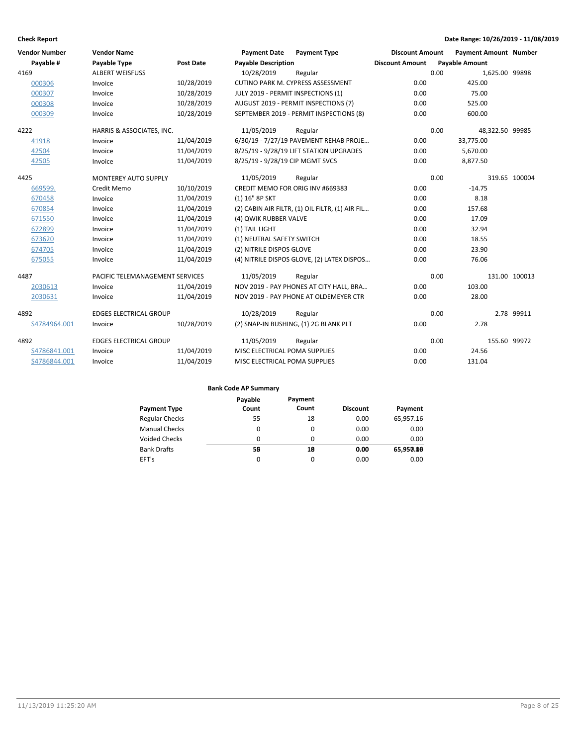| <b>Vendor Number</b> | <b>Vendor Name</b>              |                  | <b>Payment Date</b>                | <b>Payment Type</b>                             | <b>Discount Amount</b> |      | <b>Payment Amount Number</b> |               |
|----------------------|---------------------------------|------------------|------------------------------------|-------------------------------------------------|------------------------|------|------------------------------|---------------|
| Payable #            | <b>Payable Type</b>             | <b>Post Date</b> | <b>Payable Description</b>         |                                                 | <b>Discount Amount</b> |      | <b>Payable Amount</b>        |               |
| 4169                 | <b>ALBERT WEISFUSS</b>          |                  | 10/28/2019                         | Regular                                         |                        | 0.00 | 1,625.00 99898               |               |
| 000306               | Invoice                         | 10/28/2019       |                                    | CUTINO PARK M. CYPRESS ASSESSMENT               | 0.00                   |      | 425.00                       |               |
| 000307               | Invoice                         | 10/28/2019       | JULY 2019 - PERMIT INSPECTIONS (1) |                                                 | 0.00                   |      | 75.00                        |               |
| 000308               | Invoice                         | 10/28/2019       |                                    | AUGUST 2019 - PERMIT INSPECTIONS (7)            | 0.00                   |      | 525.00                       |               |
| 000309               | Invoice                         | 10/28/2019       |                                    | SEPTEMBER 2019 - PERMIT INSPECTIONS (8)         | 0.00                   |      | 600.00                       |               |
| 4222                 | HARRIS & ASSOCIATES, INC.       |                  | 11/05/2019                         | Regular                                         |                        | 0.00 | 48,322.50 99985              |               |
| 41918                | Invoice                         | 11/04/2019       |                                    | 6/30/19 - 7/27/19 PAVEMENT REHAB PROJE          | 0.00                   |      | 33,775.00                    |               |
| 42504                | Invoice                         | 11/04/2019       |                                    | 8/25/19 - 9/28/19 LIFT STATION UPGRADES         | 0.00                   |      | 5,670.00                     |               |
| 42505                | Invoice                         | 11/04/2019       | 8/25/19 - 9/28/19 CIP MGMT SVCS    |                                                 | 0.00                   |      | 8,877.50                     |               |
| 4425                 | <b>MONTEREY AUTO SUPPLY</b>     |                  | 11/05/2019                         | Regular                                         |                        | 0.00 |                              | 319.65 100004 |
| 669599.              | Credit Memo                     | 10/10/2019       | CREDIT MEMO FOR ORIG INV #669383   |                                                 | 0.00                   |      | $-14.75$                     |               |
| 670458               | Invoice                         | 11/04/2019       | (1) 16" 8P SKT                     |                                                 | 0.00                   |      | 8.18                         |               |
| 670854               | Invoice                         | 11/04/2019       |                                    | (2) CABIN AIR FILTR, (1) OIL FILTR, (1) AIR FIL | 0.00                   |      | 157.68                       |               |
| 671550               | Invoice                         | 11/04/2019       | (4) QWIK RUBBER VALVE              |                                                 | 0.00                   |      | 17.09                        |               |
| 672899               | Invoice                         | 11/04/2019       | (1) TAIL LIGHT                     |                                                 | 0.00                   |      | 32.94                        |               |
| 673620               | Invoice                         | 11/04/2019       | (1) NEUTRAL SAFETY SWITCH          |                                                 | 0.00                   |      | 18.55                        |               |
| 674705               | Invoice                         | 11/04/2019       | (2) NITRILE DISPOS GLOVE           |                                                 | 0.00                   |      | 23.90                        |               |
| 675055               | Invoice                         | 11/04/2019       |                                    | (4) NITRILE DISPOS GLOVE, (2) LATEX DISPOS      | 0.00                   |      | 76.06                        |               |
| 4487                 | PACIFIC TELEMANAGEMENT SERVICES |                  | 11/05/2019                         | Regular                                         |                        | 0.00 |                              | 131.00 100013 |
| 2030613              | Invoice                         | 11/04/2019       |                                    | NOV 2019 - PAY PHONES AT CITY HALL, BRA         | 0.00                   |      | 103.00                       |               |
| 2030631              | Invoice                         | 11/04/2019       |                                    | NOV 2019 - PAY PHONE AT OLDEMEYER CTR           | 0.00                   |      | 28.00                        |               |
| 4892                 | <b>EDGES ELECTRICAL GROUP</b>   |                  | 10/28/2019                         | Regular                                         |                        | 0.00 |                              | 2.78 99911    |
| S4784964.001         | Invoice                         | 10/28/2019       |                                    | (2) SNAP-IN BUSHING, (1) 2G BLANK PLT           | 0.00                   |      | 2.78                         |               |
| 4892                 | <b>EDGES ELECTRICAL GROUP</b>   |                  | 11/05/2019                         | Regular                                         |                        | 0.00 | 155.60 99972                 |               |
| S4786841.001         | Invoice                         | 11/04/2019       | MISC ELECTRICAL POMA SUPPLIES      |                                                 | 0.00                   |      | 24.56                        |               |
| S4786844.001         | Invoice                         | 11/04/2019       | MISC ELECTRICAL POMA SUPPLIES      |                                                 | 0.00                   |      | 131.04                       |               |

|                       | Payable | Payment  |                 |           |
|-----------------------|---------|----------|-----------------|-----------|
| <b>Payment Type</b>   | Count   | Count    | <b>Discount</b> | Payment   |
| <b>Regular Checks</b> | 55      | 18       | 0.00            | 65,957.16 |
| <b>Manual Checks</b>  | 0       | 0        | 0.00            | 0.00      |
| Voided Checks         | 0       | $\Omega$ | 0.00            | 0.00      |
| <b>Bank Drafts</b>    | 50      | 18       | 0.00            | 65,950.00 |
| EFT's                 | 0       | $\Omega$ | 0.00            | 0.00      |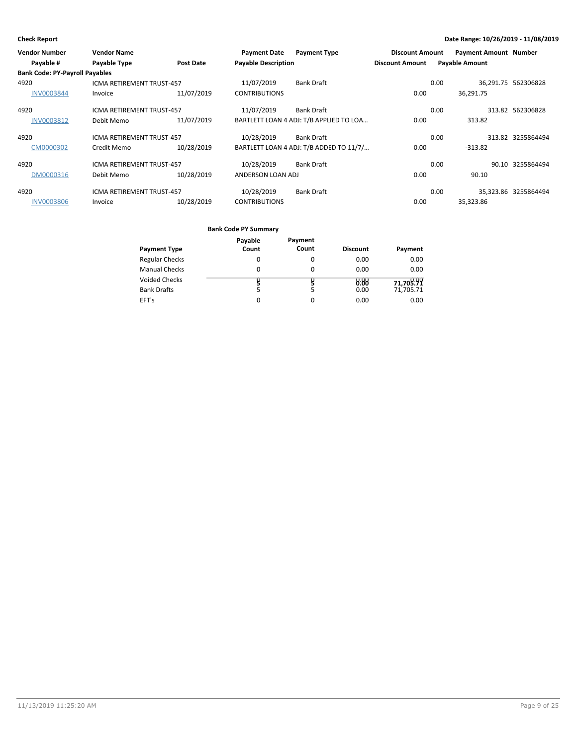| <b>Vendor Number</b>                  | <b>Vendor Name</b>               |            | <b>Payment Date</b>        | <b>Payment Type</b>                     | <b>Discount Amount</b> | <b>Payment Amount Number</b> |                      |
|---------------------------------------|----------------------------------|------------|----------------------------|-----------------------------------------|------------------------|------------------------------|----------------------|
| Payable #                             | Payable Type                     | Post Date  | <b>Payable Description</b> |                                         | <b>Discount Amount</b> | <b>Payable Amount</b>        |                      |
| <b>Bank Code: PY-Payroll Payables</b> |                                  |            |                            |                                         |                        |                              |                      |
| 4920                                  | <b>ICMA RETIREMENT TRUST-457</b> |            | 11/07/2019                 | <b>Bank Draft</b>                       |                        | 0.00                         | 36,291.75 562306828  |
| <b>INV0003844</b>                     | Invoice                          | 11/07/2019 | <b>CONTRIBUTIONS</b>       |                                         | 0.00                   | 36.291.75                    |                      |
| 4920                                  | <b>ICMA RETIREMENT TRUST-457</b> |            | 11/07/2019                 | <b>Bank Draft</b>                       |                        | 0.00                         | 313.82 562306828     |
| INV0003812                            | Debit Memo                       | 11/07/2019 |                            | BARTLETT LOAN 4 ADJ: T/B APPLIED TO LOA | 0.00                   | 313.82                       |                      |
| 4920                                  | <b>ICMA RETIREMENT TRUST-457</b> |            | 10/28/2019                 | Bank Draft                              |                        | 0.00                         | -313.82 3255864494   |
| CM0000302                             | Credit Memo                      | 10/28/2019 |                            | BARTLETT LOAN 4 ADJ: T/B ADDED TO 11/7/ | 0.00                   | $-313.82$                    |                      |
| 4920                                  | <b>ICMA RETIREMENT TRUST-457</b> |            | 10/28/2019                 | Bank Draft                              |                        | 0.00                         | 90.10 3255864494     |
| DM0000316                             | Debit Memo                       | 10/28/2019 | ANDERSON LOAN ADJ          |                                         | 0.00                   | 90.10                        |                      |
| 4920                                  | <b>ICMA RETIREMENT TRUST-457</b> |            | 10/28/2019                 | <b>Bank Draft</b>                       |                        | 0.00                         | 35.323.86 3255864494 |
| <b>INV0003806</b>                     | Invoice                          | 10/28/2019 | <b>CONTRIBUTIONS</b>       |                                         | 0.00                   | 35,323.86                    |                      |

|                       | Payable | Payment  |                 |           |
|-----------------------|---------|----------|-----------------|-----------|
| <b>Payment Type</b>   | Count   | Count    | <b>Discount</b> | Payment   |
| <b>Regular Checks</b> | 0       | 0        | 0.00            | 0.00      |
| <b>Manual Checks</b>  | 0       | 0        | 0.00            | 0.00      |
| <b>Voided Checks</b>  |         |          | 0.88            | 71,709.99 |
| <b>Bank Drafts</b>    |         | 5        | 0.00            | 71,705.71 |
| EFT's                 | 0       | $\Omega$ | 0.00            | 0.00      |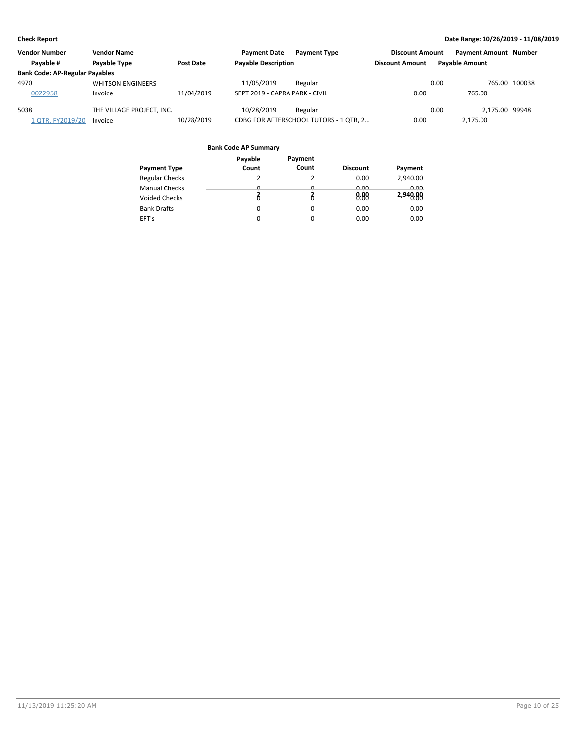| <b>Vendor Number</b>                  | <b>Vendor Name</b>        |                  | <b>Payment Date</b>            | <b>Payment Type</b>                    | <b>Discount Amount</b> | <b>Payment Amount Number</b> |               |
|---------------------------------------|---------------------------|------------------|--------------------------------|----------------------------------------|------------------------|------------------------------|---------------|
| Pavable #                             | <b>Pavable Type</b>       | <b>Post Date</b> | <b>Payable Description</b>     |                                        | <b>Discount Amount</b> | <b>Pavable Amount</b>        |               |
| <b>Bank Code: AP-Regular Payables</b> |                           |                  |                                |                                        |                        |                              |               |
| 4970                                  | <b>WHITSON ENGINEERS</b>  |                  | 11/05/2019                     | Regular                                |                        | 0.00                         | 765.00 100038 |
| 0022958                               | Invoice                   | 11/04/2019       | SEPT 2019 - CAPRA PARK - CIVIL |                                        | 0.00                   | 765.00                       |               |
| 5038                                  | THE VILLAGE PROJECT, INC. |                  | 10/28/2019                     | Regular                                |                        | 2.175.00 99948<br>0.00       |               |
| 1 QTR, FY2019/20                      | Invoice                   | 10/28/2019       |                                | CDBG FOR AFTERSCHOOL TUTORS - 1 QTR, 2 | 0.00                   | 2.175.00                     |               |

| Payable  | Payment  |                 |          |
|----------|----------|-----------------|----------|
| Count    | Count    | <b>Discount</b> | Payment  |
| 2        | 2        | 0.00            | 2,940.00 |
| 0        | 0        | 0.00            | 0.00     |
|          |          | 0.88            | 2,940.00 |
| $\Omega$ | $\Omega$ | 0.00            | 0.00     |
| 0        | 0        | 0.00            | 0.00     |
|          |          |                 |          |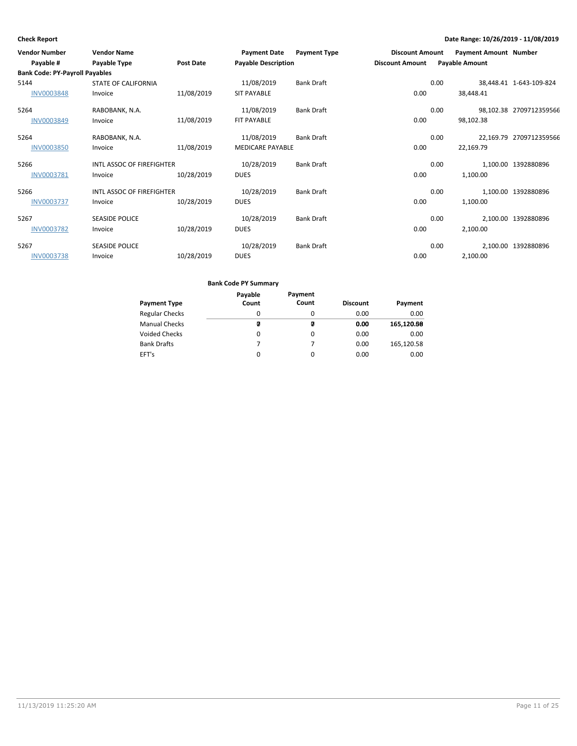| <b>Vendor Number</b>                  | <b>Vendor Name</b>               |                  | <b>Payment Date</b>        | <b>Payment Type</b> | <b>Discount Amount</b> | <b>Payment Amount Number</b> |                         |
|---------------------------------------|----------------------------------|------------------|----------------------------|---------------------|------------------------|------------------------------|-------------------------|
| Payable #                             | Payable Type                     | <b>Post Date</b> | <b>Payable Description</b> |                     | <b>Discount Amount</b> | <b>Payable Amount</b>        |                         |
| <b>Bank Code: PY-Payroll Payables</b> |                                  |                  |                            |                     |                        |                              |                         |
| 5144                                  | <b>STATE OF CALIFORNIA</b>       |                  | 11/08/2019                 | <b>Bank Draft</b>   | 0.00                   |                              | 38,448.41 1-643-109-824 |
| <b>INV0003848</b>                     | Invoice                          | 11/08/2019       | <b>SIT PAYABLE</b>         |                     | 0.00                   | 38,448.41                    |                         |
| 5264                                  | RABOBANK, N.A.                   |                  | 11/08/2019                 | <b>Bank Draft</b>   | 0.00                   |                              | 98,102.38 2709712359566 |
| <b>INV0003849</b>                     | Invoice                          | 11/08/2019       | FIT PAYABLE                |                     | 0.00                   | 98,102.38                    |                         |
| 5264                                  | RABOBANK, N.A.                   |                  | 11/08/2019                 | <b>Bank Draft</b>   | 0.00                   |                              | 22,169.79 2709712359566 |
| <b>INV0003850</b>                     | Invoice                          | 11/08/2019       | <b>MEDICARE PAYABLE</b>    |                     | 0.00                   | 22,169.79                    |                         |
| 5266                                  | <b>INTL ASSOC OF FIREFIGHTER</b> |                  | 10/28/2019                 | <b>Bank Draft</b>   | 0.00                   |                              | 1,100.00 1392880896     |
| INV0003781                            | Invoice                          | 10/28/2019       | <b>DUES</b>                |                     | 0.00                   | 1,100.00                     |                         |
| 5266                                  | INTL ASSOC OF FIREFIGHTER        |                  | 10/28/2019                 | <b>Bank Draft</b>   | 0.00                   |                              | 1,100.00 1392880896     |
| <b>INV0003737</b>                     | Invoice                          | 10/28/2019       | <b>DUES</b>                |                     | 0.00                   | 1,100.00                     |                         |
| 5267                                  | <b>SEASIDE POLICE</b>            |                  | 10/28/2019                 | <b>Bank Draft</b>   | 0.00                   |                              | 2,100.00 1392880896     |
| <b>INV0003782</b>                     | Invoice                          | 10/28/2019       | <b>DUES</b>                |                     | 0.00                   | 2,100.00                     |                         |
| 5267                                  | <b>SEASIDE POLICE</b>            |                  | 10/28/2019                 | <b>Bank Draft</b>   | 0.00                   |                              | 2,100.00 1392880896     |
| <b>INV0003738</b>                     | Invoice                          | 10/28/2019       | <b>DUES</b>                |                     | 0.00                   | 2,100.00                     |                         |

| <b>Payment Type</b>   | Payable<br>Count | Payment<br>Count | <b>Discount</b> | Payment    |
|-----------------------|------------------|------------------|-----------------|------------|
| <b>Regular Checks</b> | $\Omega$         | 0                | 0.00            | 0.00       |
| <b>Manual Checks</b>  | Ø                | Ø                | 0.00            | 165,120.68 |
| <b>Voided Checks</b>  | 0                | 0                | 0.00            | 0.00       |
| <b>Bank Drafts</b>    | 7                |                  | 0.00            | 165,120.58 |
| EFT's                 | 0                | 0                | 0.00            | 0.00       |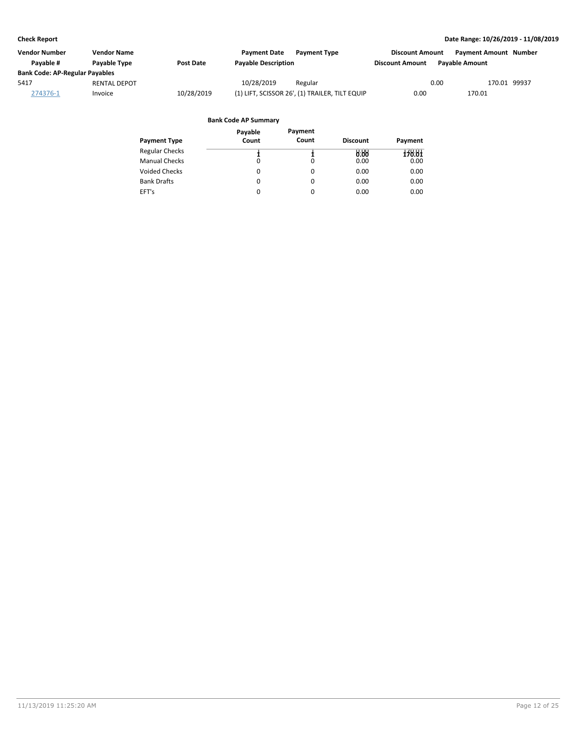| Vendor Number                         | Vendor Name         |                  | <b>Payment Date</b>        | <b>Payment Type</b>                            | <b>Discount Amount</b> | <b>Payment Amount Number</b> |              |
|---------------------------------------|---------------------|------------------|----------------------------|------------------------------------------------|------------------------|------------------------------|--------------|
| Pavable #                             | <b>Pavable Type</b> | <b>Post Date</b> | <b>Payable Description</b> |                                                | <b>Discount Amount</b> | <b>Pavable Amount</b>        |              |
| <b>Bank Code: AP-Regular Payables</b> |                     |                  |                            |                                                |                        |                              |              |
| 5417                                  | <b>RENTAL DEPOT</b> |                  | 10/28/2019                 | Regular                                        |                        | 0.00                         | 170.01 99937 |
| 274376-1                              | Invoice             | 10/28/2019       |                            | (1) LIFT, SCISSOR 26', (1) TRAILER, TILT EQUIP | 0.00                   | 170.01                       |              |

|                       | Payable  | Payment |                 |         |
|-----------------------|----------|---------|-----------------|---------|
| <b>Payment Type</b>   | Count    | Count   | <b>Discount</b> | Payment |
| <b>Regular Checks</b> |          |         | 0.88            | 178.81  |
| <b>Manual Checks</b>  | $\Omega$ | 0       | 0.00            | 0.00    |
| <b>Voided Checks</b>  | 0        | 0       | 0.00            | 0.00    |
| <b>Bank Drafts</b>    | 0        | 0       | 0.00            | 0.00    |
| EFT's                 | 0        | 0       | 0.00            | 0.00    |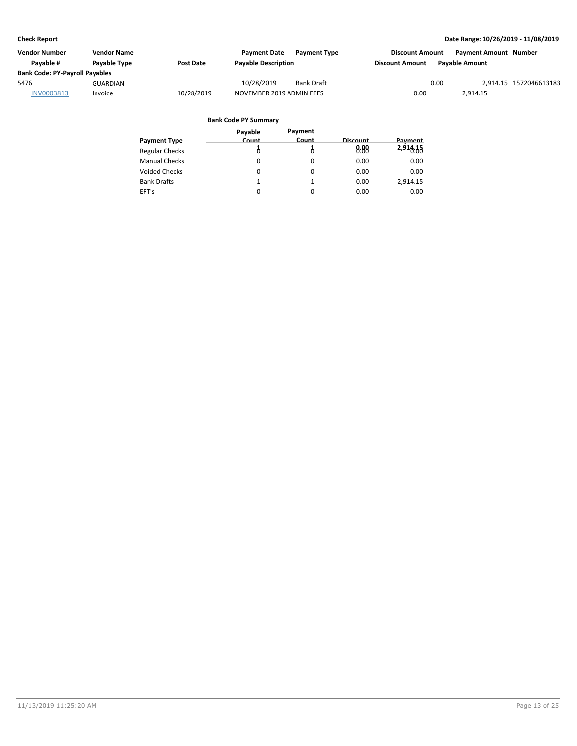| <b>Vendor Number</b>                  | <b>Vendor Name</b> |                  | <b>Payment Date</b>        | <b>Payment Type</b> | <b>Discount Amount</b> |                       | <b>Payment Amount Number</b> |                        |
|---------------------------------------|--------------------|------------------|----------------------------|---------------------|------------------------|-----------------------|------------------------------|------------------------|
| Pavable #                             | Payable Type       | <b>Post Date</b> | <b>Payable Description</b> |                     | Discount Amount        | <b>Pavable Amount</b> |                              |                        |
| <b>Bank Code: PY-Payroll Payables</b> |                    |                  |                            |                     |                        |                       |                              |                        |
| 5476                                  | GUARDIAN           |                  | 10/28/2019                 | <b>Bank Draft</b>   |                        | 0.00                  |                              | 2.914.15 1572046613183 |
| INV0003813                            | Invoice            | 10/28/2019       | NOVEMBER 2019 ADMIN FEES   |                     | 0.00                   |                       | 2.914.15                     |                        |

|                       | Payable  | Payment |          |          |
|-----------------------|----------|---------|----------|----------|
| Payment Type          | Count    | Count   | Discount | Payment  |
| <b>Regular Checks</b> |          |         | 0.00     | 2,916.35 |
| <b>Manual Checks</b>  | 0        | 0       | 0.00     | 0.00     |
| <b>Voided Checks</b>  | 0        | 0       | 0.00     | 0.00     |
| <b>Bank Drafts</b>    |          |         | 0.00     | 2,914.15 |
| EFT's                 | $\Omega$ | 0       | 0.00     | 0.00     |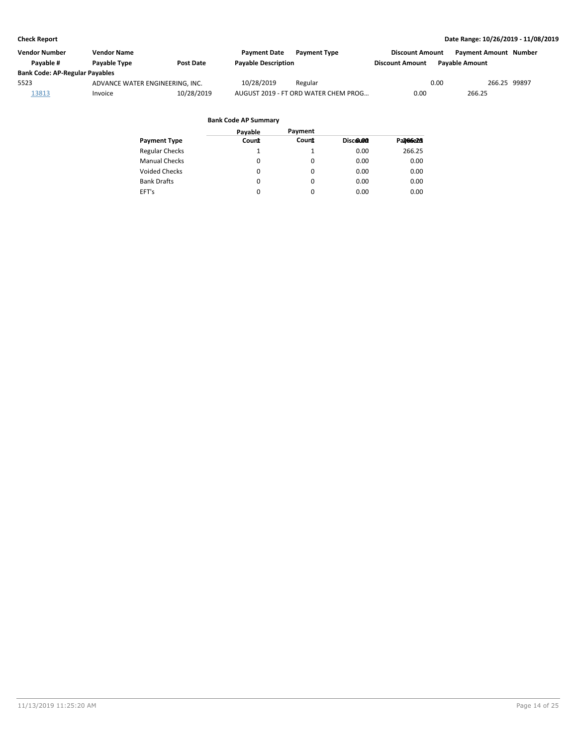| <b>Vendor Number</b>                  | <b>Vendor Name</b>              |            | <b>Payment Date</b>        | <b>Payment Type</b>                  | <b>Discount Amount</b> | <b>Payment Amount Number</b> |              |
|---------------------------------------|---------------------------------|------------|----------------------------|--------------------------------------|------------------------|------------------------------|--------------|
| Pavable #                             | <b>Pavable Type</b>             | Post Date  | <b>Payable Description</b> |                                      | <b>Discount Amount</b> | <b>Pavable Amount</b>        |              |
| <b>Bank Code: AP-Regular Payables</b> |                                 |            |                            |                                      |                        |                              |              |
| 5523                                  | ADVANCE WATER ENGINEERING. INC. |            | 10/28/2019                 | Regular                              |                        | 0.00                         | 266.25 99897 |
| <u> 13813</u>                         | Invoice                         | 10/28/2019 |                            | AUGUST 2019 - FT ORD WATER CHEM PROG | 0.00                   | 266.25                       |              |

|                       | Pavable  | Payment  |          |           |
|-----------------------|----------|----------|----------|-----------|
| <b>Payment Type</b>   | Count    | Count    | Discolon | Pal/66e2H |
| <b>Regular Checks</b> |          |          | 0.00     | 266.25    |
| <b>Manual Checks</b>  | $\Omega$ | $\Omega$ | 0.00     | 0.00      |
| Voided Checks         | 0        | $\Omega$ | 0.00     | 0.00      |
| <b>Bank Drafts</b>    | 0        | $\Omega$ | 0.00     | 0.00      |
| EFT's                 | 0        | 0        | 0.00     | 0.00      |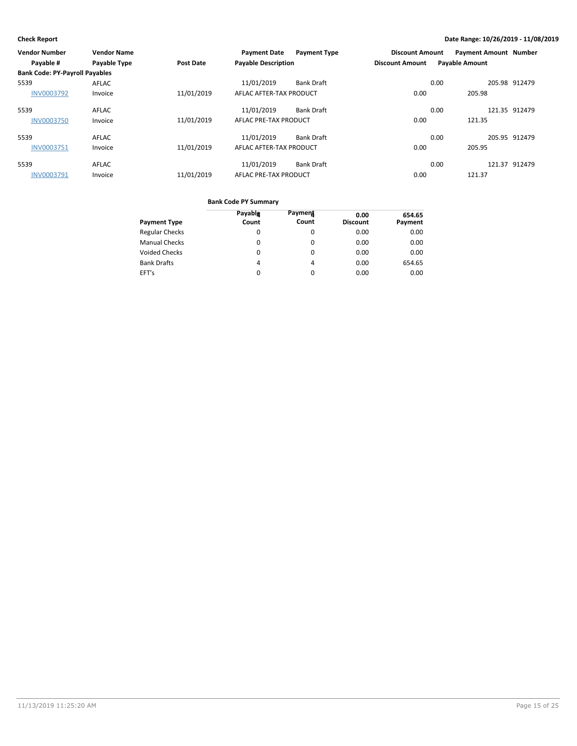| <b>Vendor Number</b>                  | <b>Vendor Name</b>  |                  | <b>Payment Date</b>        | <b>Payment Type</b> | <b>Discount Amount</b> | <b>Payment Amount Number</b> |               |
|---------------------------------------|---------------------|------------------|----------------------------|---------------------|------------------------|------------------------------|---------------|
| Payable #                             | <b>Payable Type</b> | <b>Post Date</b> | <b>Payable Description</b> |                     | <b>Discount Amount</b> | <b>Payable Amount</b>        |               |
| <b>Bank Code: PY-Payroll Payables</b> |                     |                  |                            |                     |                        |                              |               |
| 5539                                  | AFLAC               |                  | 11/01/2019                 | <b>Bank Draft</b>   |                        | 0.00                         | 205.98 912479 |
| <b>INV0003792</b>                     | Invoice             | 11/01/2019       | AFLAC AFTER-TAX PRODUCT    |                     | 0.00                   | 205.98                       |               |
| 5539                                  | AFLAC               |                  | 11/01/2019                 | <b>Bank Draft</b>   |                        | 0.00                         | 121.35 912479 |
| <b>INV0003750</b>                     | Invoice             | 11/01/2019       | AFLAC PRE-TAX PRODUCT      |                     | 0.00                   | 121.35                       |               |
| 5539                                  | <b>AFLAC</b>        |                  | 11/01/2019                 | <b>Bank Draft</b>   |                        | 0.00                         | 205.95 912479 |
| INV0003751                            | Invoice             | 11/01/2019       | AFLAC AFTER-TAX PRODUCT    |                     | 0.00                   | 205.95                       |               |
| 5539                                  | <b>AFLAC</b>        |                  | 11/01/2019                 | <b>Bank Draft</b>   |                        | 0.00                         | 121.37 912479 |
| <b>INV0003791</b>                     | Invoice             | 11/01/2019       | AFLAC PRE-TAX PRODUCT      |                     | 0.00                   | 121.37                       |               |

| <b>Payment Type</b>   | Payablg<br>Count | Payment<br>Count | 0.00<br><b>Discount</b> | 654.65<br>Payment |
|-----------------------|------------------|------------------|-------------------------|-------------------|
| <b>Regular Checks</b> | 0                | 0                | 0.00                    | 0.00              |
| <b>Manual Checks</b>  | 0                | 0                | 0.00                    | 0.00              |
| <b>Voided Checks</b>  | 0                | 0                | 0.00                    | 0.00              |
| <b>Bank Drafts</b>    | 4                | 4                | 0.00                    | 654.65            |
| EFT's                 | 0                | 0                | 0.00                    | 0.00              |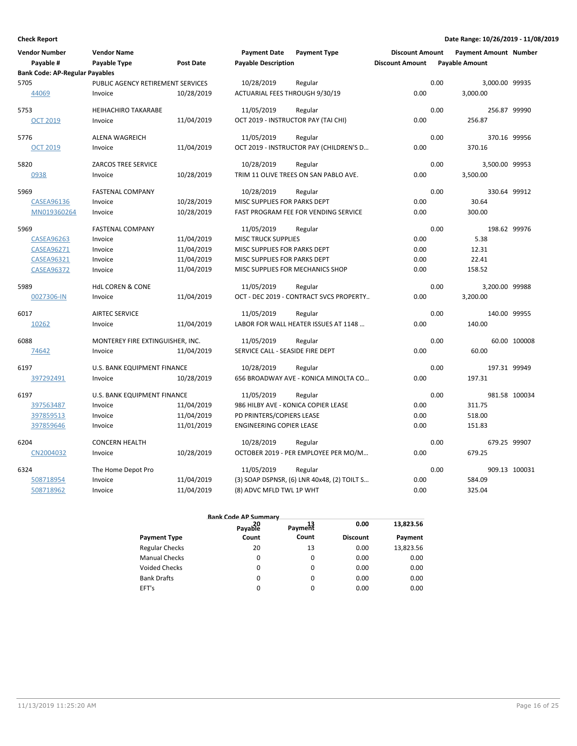| <b>Vendor Number</b>                  | <b>Vendor Name</b>                |                  | <b>Payment Date</b>                 | <b>Payment Type</b>                         | <b>Discount Amount</b> | <b>Payment Amount Number</b> |               |
|---------------------------------------|-----------------------------------|------------------|-------------------------------------|---------------------------------------------|------------------------|------------------------------|---------------|
| Payable #                             | Payable Type                      | <b>Post Date</b> | <b>Payable Description</b>          |                                             | <b>Discount Amount</b> | <b>Payable Amount</b>        |               |
| <b>Bank Code: AP-Regular Payables</b> |                                   |                  |                                     |                                             |                        |                              |               |
| 5705                                  | PUBLIC AGENCY RETIREMENT SERVICES |                  | 10/28/2019                          | Regular                                     |                        | 0.00<br>3,000.00 99935       |               |
| 44069                                 | Invoice                           | 10/28/2019       | ACTUARIAL FEES THROUGH 9/30/19      |                                             | 0.00                   | 3,000.00                     |               |
| 5753                                  | <b>HEIHACHIRO TAKARABE</b>        |                  | 11/05/2019                          | Regular                                     |                        | 0.00                         | 256.87 99990  |
| <b>OCT 2019</b>                       | Invoice                           | 11/04/2019       | OCT 2019 - INSTRUCTOR PAY (TAI CHI) |                                             | 0.00                   | 256.87                       |               |
| 5776                                  | <b>ALENA WAGREICH</b>             |                  | 11/05/2019                          | Regular                                     |                        | 0.00                         | 370.16 99956  |
| <b>OCT 2019</b>                       | Invoice                           | 11/04/2019       |                                     | OCT 2019 - INSTRUCTOR PAY (CHILDREN'S D     | 0.00                   | 370.16                       |               |
| 5820                                  | <b>ZARCOS TREE SERVICE</b>        |                  | 10/28/2019                          | Regular                                     |                        | 0.00<br>3,500.00 99953       |               |
| 0938                                  | Invoice                           | 10/28/2019       |                                     | TRIM 11 OLIVE TREES ON SAN PABLO AVE.       | 0.00                   | 3,500.00                     |               |
| 5969                                  | <b>FASTENAL COMPANY</b>           |                  | 10/28/2019                          | Regular                                     |                        | 0.00                         | 330.64 99912  |
| CASEA96136                            | Invoice                           | 10/28/2019       | MISC SUPPLIES FOR PARKS DEPT        |                                             | 0.00                   | 30.64                        |               |
| MN019360264                           | Invoice                           | 10/28/2019       |                                     | FAST PROGRAM FEE FOR VENDING SERVICE        | 0.00                   | 300.00                       |               |
| 5969                                  | <b>FASTENAL COMPANY</b>           |                  | 11/05/2019                          | Regular                                     |                        | 0.00                         | 198.62 99976  |
| <b>CASEA96263</b>                     | Invoice                           | 11/04/2019       | <b>MISC TRUCK SUPPLIES</b>          |                                             | 0.00                   | 5.38                         |               |
| <b>CASEA96271</b>                     | Invoice                           | 11/04/2019       | MISC SUPPLIES FOR PARKS DEPT        |                                             | 0.00                   | 12.31                        |               |
| <b>CASEA96321</b>                     | Invoice                           | 11/04/2019       | MISC SUPPLIES FOR PARKS DEPT        |                                             | 0.00                   | 22.41                        |               |
| <b>CASEA96372</b>                     | Invoice                           | 11/04/2019       | MISC SUPPLIES FOR MECHANICS SHOP    |                                             | 0.00                   | 158.52                       |               |
| 5989                                  | <b>HdL COREN &amp; CONE</b>       |                  | 11/05/2019                          | Regular                                     |                        | 0.00<br>3,200.00 99988       |               |
| 0027306-IN                            | Invoice                           | 11/04/2019       |                                     | OCT - DEC 2019 - CONTRACT SVCS PROPERTY     | 0.00                   | 3,200.00                     |               |
| 6017                                  | <b>AIRTEC SERVICE</b>             |                  | 11/05/2019                          | Regular                                     |                        | 0.00                         | 140.00 99955  |
| 10262                                 | Invoice                           | 11/04/2019       |                                     | LABOR FOR WALL HEATER ISSUES AT 1148        | 0.00                   | 140.00                       |               |
| 6088                                  | MONTEREY FIRE EXTINGUISHER, INC.  |                  | 11/05/2019                          | Regular                                     |                        | 0.00                         | 60.00 100008  |
| 74642                                 | Invoice                           | 11/04/2019       | SERVICE CALL - SEASIDE FIRE DEPT    |                                             | 0.00                   | 60.00                        |               |
| 6197                                  | U.S. BANK EQUIPMENT FINANCE       |                  | 10/28/2019                          | Regular                                     |                        | 0.00                         | 197.31 99949  |
| 397292491                             | Invoice                           | 10/28/2019       |                                     | 656 BROADWAY AVE - KONICA MINOLTA CO        | 0.00                   | 197.31                       |               |
| 6197                                  | U.S. BANK EQUIPMENT FINANCE       |                  | 11/05/2019                          | Regular                                     |                        | 0.00                         | 981.58 100034 |
| 397563487                             | Invoice                           | 11/04/2019       |                                     | 986 HILBY AVE - KONICA COPIER LEASE         | 0.00                   | 311.75                       |               |
| 397859513                             | Invoice                           | 11/04/2019       | PD PRINTERS/COPIERS LEASE           |                                             | 0.00                   | 518.00                       |               |
| 397859646                             | Invoice                           | 11/01/2019       | <b>ENGINEERING COPIER LEASE</b>     |                                             | 0.00                   | 151.83                       |               |
| 6204                                  | <b>CONCERN HEALTH</b>             |                  | 10/28/2019                          | Regular                                     |                        | 0.00                         | 679.25 99907  |
| CN2004032                             | Invoice                           | 10/28/2019       |                                     | OCTOBER 2019 - PER EMPLOYEE PER MO/M        | 0.00                   | 679.25                       |               |
| 6324                                  | The Home Depot Pro                |                  | 11/05/2019                          | Regular                                     |                        | 0.00                         | 909.13 100031 |
| 508718954                             | Invoice                           | 11/04/2019       |                                     | (3) SOAP DSPNSR, (6) LNR 40x48, (2) TOILT S | 0.00                   | 584.09                       |               |
| 508718962                             | Invoice                           | 11/04/2019       | (8) ADVC MFLD TWL 1P WHT            |                                             | 0.00                   | 325.04                       |               |

|                       | 20<br>Payable | <sup>13</sup> Payment | 0.00            | 13,823.56 |
|-----------------------|---------------|-----------------------|-----------------|-----------|
| <b>Payment Type</b>   | Count         | Count                 | <b>Discount</b> | Payment   |
| <b>Regular Checks</b> | 20            | 13                    | 0.00            | 13,823.56 |
| <b>Manual Checks</b>  | 0             | 0                     | 0.00            | 0.00      |
| <b>Voided Checks</b>  | 0             | $\Omega$              | 0.00            | 0.00      |
| <b>Bank Drafts</b>    | 0             | $\Omega$              | 0.00            | 0.00      |
| EFT's                 | 0             | $\Omega$              | 0.00            | 0.00      |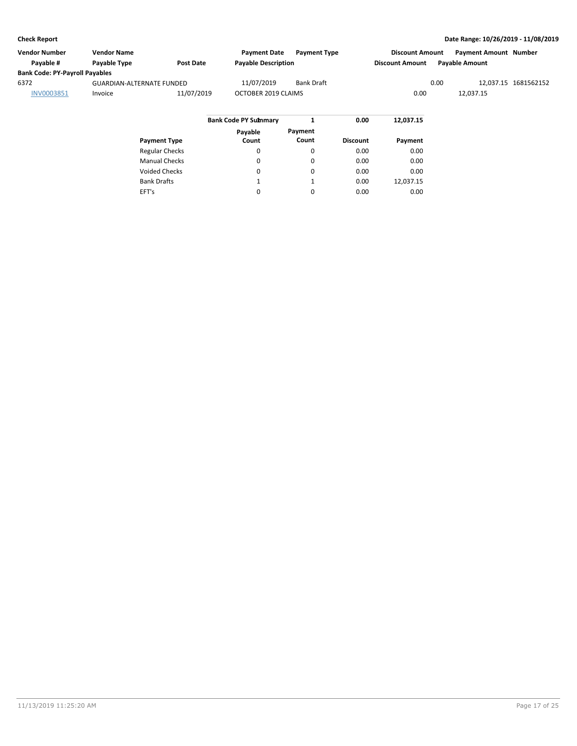| <b>Vendor Number</b>                  | <b>Vendor Name</b>               |                  | <b>Payment Date</b>         | <b>Payment Type</b> |      | <b>Discount Amount</b> |      | <b>Payment Amount Number</b> |                      |
|---------------------------------------|----------------------------------|------------------|-----------------------------|---------------------|------|------------------------|------|------------------------------|----------------------|
| Pavable #                             | <b>Pavable Type</b>              | <b>Post Date</b> | <b>Payable Description</b>  |                     |      | <b>Discount Amount</b> |      | <b>Pavable Amount</b>        |                      |
| <b>Bank Code: PY-Payroll Payables</b> |                                  |                  |                             |                     |      |                        |      |                              |                      |
| 6372                                  | <b>GUARDIAN-ALTERNATE FUNDED</b> |                  | 11/07/2019                  | Bank Draft          |      |                        | 0.00 |                              | 12,037.15 1681562152 |
| INV0003851                            | Invoice                          | 11/07/2019       | OCTOBER 2019 CLAIMS         |                     |      | 0.00                   |      | 12.037.15                    |                      |
|                                       |                                  |                  |                             |                     |      |                        |      |                              |                      |
|                                       |                                  |                  | <b>Bank Code PY Summary</b> |                     | 0.00 | 12,037.15              |      |                              |                      |

| <b>Payment Type</b>   | Payable<br>Count | Payment<br>Count | <b>Discount</b> | Payment   |
|-----------------------|------------------|------------------|-----------------|-----------|
| <b>Regular Checks</b> | 0                | 0                | 0.00            | 0.00      |
| <b>Manual Checks</b>  | 0                | $\Omega$         | 0.00            | 0.00      |
| <b>Voided Checks</b>  | 0                | $\Omega$         | 0.00            | 0.00      |
| <b>Bank Drafts</b>    | 1                | 1                | 0.00            | 12,037.15 |
| EFT's                 | 0                | $\Omega$         | 0.00            | 0.00      |
|                       |                  |                  |                 |           |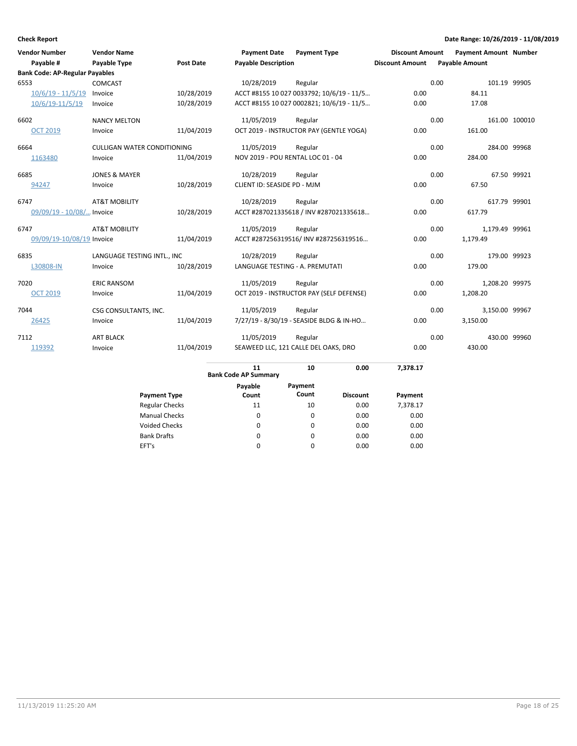| <b>Vendor Number</b> |                                       | <b>Vendor Name</b>                 |                  | <b>Payment Date</b>               | <b>Payment Type</b>                       | <b>Discount Amount</b> | <b>Payment Amount Number</b> |                |               |
|----------------------|---------------------------------------|------------------------------------|------------------|-----------------------------------|-------------------------------------------|------------------------|------------------------------|----------------|---------------|
|                      | Payable #                             | Payable Type                       | <b>Post Date</b> | <b>Payable Description</b>        |                                           | <b>Discount Amount</b> | <b>Payable Amount</b>        |                |               |
|                      | <b>Bank Code: AP-Regular Payables</b> |                                    |                  |                                   |                                           |                        |                              |                |               |
| 6553                 |                                       | <b>COMCAST</b>                     |                  | 10/28/2019                        | Regular                                   |                        | 0.00                         | 101.19 99905   |               |
|                      | $10/6/19 - 11/5/19$                   | Invoice                            | 10/28/2019       |                                   | ACCT #8155 10 027 0033792; 10/6/19 - 11/5 | 0.00                   | 84.11                        |                |               |
|                      | 10/6/19-11/5/19                       | Invoice                            | 10/28/2019       |                                   | ACCT #8155 10 027 0002821; 10/6/19 - 11/5 | 0.00                   | 17.08                        |                |               |
| 6602                 |                                       | <b>NANCY MELTON</b>                |                  | 11/05/2019                        | Regular                                   |                        | 0.00                         |                | 161.00 100010 |
|                      | <b>OCT 2019</b>                       | Invoice                            | 11/04/2019       |                                   | OCT 2019 - INSTRUCTOR PAY (GENTLE YOGA)   | 0.00                   | 161.00                       |                |               |
| 6664                 |                                       | <b>CULLIGAN WATER CONDITIONING</b> |                  | 11/05/2019                        | Regular                                   |                        | 0.00                         | 284.00 99968   |               |
| 1163480              |                                       | Invoice                            | 11/04/2019       | NOV 2019 - POU RENTAL LOC 01 - 04 |                                           | 0.00                   | 284.00                       |                |               |
| 6685                 |                                       | <b>JONES &amp; MAYER</b>           |                  | 10/28/2019                        | Regular                                   |                        | 0.00                         |                | 67.50 99921   |
| 94247                |                                       | Invoice                            | 10/28/2019       | CLIENT ID: SEASIDE PD - MJM       |                                           | 0.00                   | 67.50                        |                |               |
| 6747                 |                                       | <b>AT&amp;T MOBILITY</b>           |                  | 10/28/2019                        | Regular                                   |                        | 0.00                         | 617.79 99901   |               |
|                      | 09/09/19 - 10/08/ Invoice             |                                    | 10/28/2019       |                                   | ACCT #287021335618 / INV #287021335618    | 0.00                   | 617.79                       |                |               |
| 6747                 |                                       | <b>AT&amp;T MOBILITY</b>           |                  | 11/05/2019                        | Regular                                   |                        | 0.00                         | 1,179.49 99961 |               |
|                      | 09/09/19-10/08/19 Invoice             |                                    | 11/04/2019       |                                   | ACCT #287256319516/ INV #287256319516     | 0.00                   | 1,179.49                     |                |               |
| 6835                 |                                       | LANGUAGE TESTING INTL., INC        |                  | 10/28/2019                        | Regular                                   |                        | 0.00                         | 179.00 99923   |               |
|                      | L30808-IN                             | Invoice                            | 10/28/2019       | LANGUAGE TESTING - A. PREMUTATI   |                                           | 0.00                   | 179.00                       |                |               |
| 7020                 |                                       | <b>ERIC RANSOM</b>                 |                  | 11/05/2019                        | Regular                                   |                        | 0.00                         | 1,208.20 99975 |               |
|                      | <b>OCT 2019</b>                       | Invoice                            | 11/04/2019       |                                   | OCT 2019 - INSTRUCTOR PAY (SELF DEFENSE)  | 0.00                   | 1,208.20                     |                |               |
| 7044                 |                                       | CSG CONSULTANTS, INC.              |                  | 11/05/2019                        | Regular                                   |                        | 0.00                         | 3,150.00 99967 |               |
| 26425                |                                       | Invoice                            | 11/04/2019       |                                   | 7/27/19 - 8/30/19 - SEASIDE BLDG & IN-HO  | 0.00                   | 3,150.00                     |                |               |
| 7112                 |                                       | <b>ART BLACK</b>                   |                  | 11/05/2019                        | Regular                                   |                        | 0.00                         | 430.00 99960   |               |
| 119392               |                                       | Invoice                            | 11/04/2019       |                                   | SEAWEED LLC, 121 CALLE DEL OAKS, DRO      | 0.00                   | 430.00                       |                |               |
|                      |                                       |                                    |                  | 11                                | 0.00<br>10                                | 7.378.17               |                              |                |               |

|                       | <b>Bank Code AP Summary</b> | 1U               | v.vv            | ,,,,,,,  |  |
|-----------------------|-----------------------------|------------------|-----------------|----------|--|
| <b>Payment Type</b>   | Payable<br>Count            | Payment<br>Count | <b>Discount</b> | Payment  |  |
| <b>Regular Checks</b> | 11                          | 10               | 0.00            | 7,378.17 |  |
| <b>Manual Checks</b>  | 0                           | 0                | 0.00            | 0.00     |  |
| <b>Voided Checks</b>  | 0                           | $\Omega$         | 0.00            | 0.00     |  |
| <b>Bank Drafts</b>    | 0                           | $\Omega$         | 0.00            | 0.00     |  |
| EFT's                 | 0                           | $\Omega$         | 0.00            | 0.00     |  |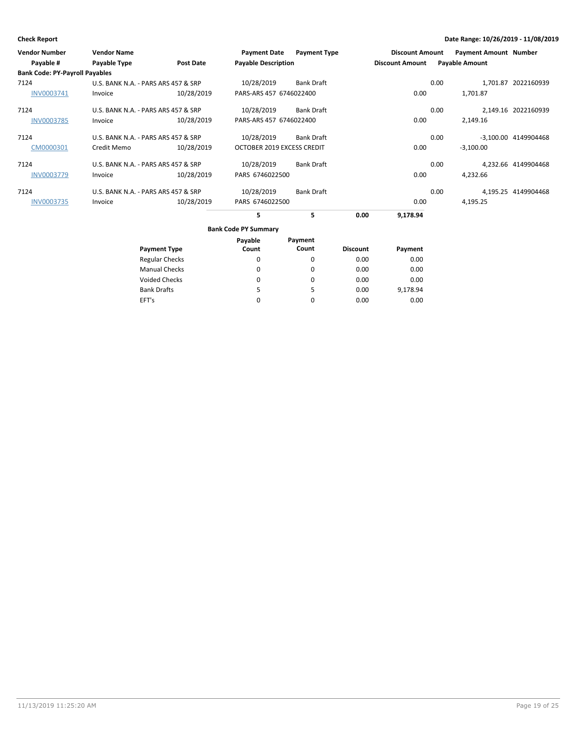| <b>Vendor Number</b>                  | <b>Vendor Name</b>                  |                       | <b>Payment Date</b>         | <b>Payment Type</b> |                 | <b>Discount Amount</b> |      | <b>Payment Amount Number</b> |                      |
|---------------------------------------|-------------------------------------|-----------------------|-----------------------------|---------------------|-----------------|------------------------|------|------------------------------|----------------------|
| Payable #                             | Payable Type                        | <b>Post Date</b>      | <b>Payable Description</b>  |                     |                 | <b>Discount Amount</b> |      | <b>Payable Amount</b>        |                      |
| <b>Bank Code: PY-Payroll Payables</b> |                                     |                       |                             |                     |                 |                        |      |                              |                      |
| 7124                                  | U.S. BANK N.A. - PARS ARS 457 & SRP |                       | 10/28/2019                  | <b>Bank Draft</b>   |                 |                        | 0.00 |                              | 1.701.87 2022160939  |
| INV0003741                            | Invoice                             | 10/28/2019            | PARS-ARS 457 6746022400     |                     |                 | 0.00                   |      | 1,701.87                     |                      |
| 7124                                  | U.S. BANK N.A. - PARS ARS 457 & SRP |                       | 10/28/2019                  | <b>Bank Draft</b>   |                 |                        | 0.00 |                              | 2,149.16 2022160939  |
| <b>INV0003785</b>                     | Invoice                             | 10/28/2019            | PARS-ARS 457 6746022400     |                     |                 | 0.00                   |      | 2,149.16                     |                      |
| 7124                                  | U.S. BANK N.A. - PARS ARS 457 & SRP |                       | 10/28/2019                  | <b>Bank Draft</b>   |                 |                        | 0.00 |                              | -3,100.00 4149904468 |
| CM0000301                             | Credit Memo                         | 10/28/2019            | OCTOBER 2019 EXCESS CREDIT  |                     |                 | 0.00                   |      | $-3,100.00$                  |                      |
| 7124                                  | U.S. BANK N.A. - PARS ARS 457 & SRP |                       | 10/28/2019                  | <b>Bank Draft</b>   |                 |                        | 0.00 |                              | 4,232.66 4149904468  |
| <b>INV0003779</b>                     | Invoice                             | 10/28/2019            | PARS 6746022500             |                     |                 | 0.00                   |      | 4,232.66                     |                      |
| 7124                                  | U.S. BANK N.A. - PARS ARS 457 & SRP |                       | 10/28/2019                  | <b>Bank Draft</b>   |                 |                        | 0.00 |                              | 4,195.25 4149904468  |
| <b>INV0003735</b>                     | Invoice                             | 10/28/2019            | PARS 6746022500             |                     |                 | 0.00                   |      | 4,195.25                     |                      |
|                                       |                                     |                       | 5                           | 5                   | 0.00            | 9,178.94               |      |                              |                      |
|                                       |                                     |                       | <b>Bank Code PY Summary</b> |                     |                 |                        |      |                              |                      |
|                                       |                                     |                       | Payable                     | Payment             |                 |                        |      |                              |                      |
|                                       |                                     | <b>Payment Type</b>   | Count                       | Count               | <b>Discount</b> | Payment                |      |                              |                      |
|                                       |                                     | <b>Regular Checks</b> | 0                           | $\Omega$            | 0.00            | 0.00                   |      |                              |                      |
|                                       |                                     | <b>Manual Checks</b>  | 0                           | 0                   | 0.00            | 0.00                   |      |                              |                      |

0 5 0

0 5 0 0.00 0.00 0.00

0.00 9,178.94 0.00

Voided Checks

Bank Drafts EFT's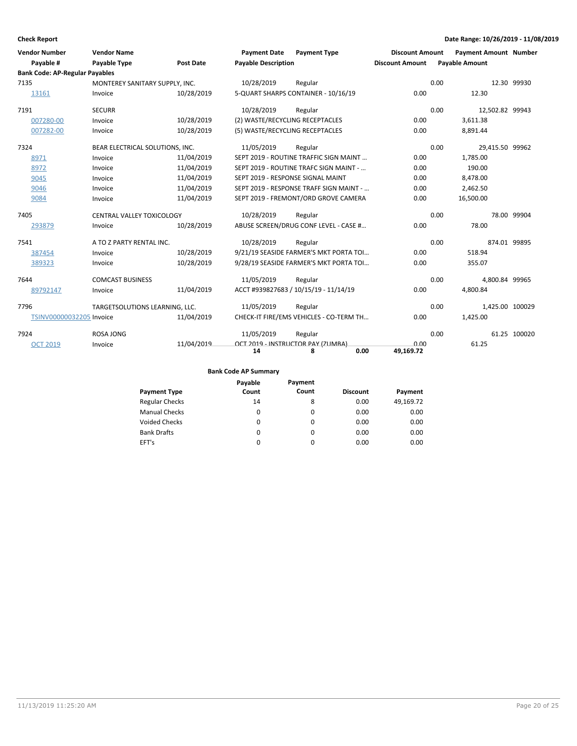| <b>Vendor Number</b>                  | <b>Vendor Name</b>              |                  | <b>Payment Date</b>               | <b>Payment Type</b>                     | <b>Discount Amount</b> | <b>Payment Amount Number</b> |                 |
|---------------------------------------|---------------------------------|------------------|-----------------------------------|-----------------------------------------|------------------------|------------------------------|-----------------|
| Payable #                             | <b>Payable Type</b>             | <b>Post Date</b> | <b>Payable Description</b>        |                                         | <b>Discount Amount</b> | <b>Payable Amount</b>        |                 |
| <b>Bank Code: AP-Regular Payables</b> |                                 |                  |                                   |                                         |                        |                              |                 |
| 7135                                  | MONTEREY SANITARY SUPPLY, INC.  |                  | 10/28/2019                        | Regular                                 |                        | 0.00                         | 12.30 99930     |
| 13161                                 | Invoice                         | 10/28/2019       |                                   | 5-QUART SHARPS CONTAINER - 10/16/19     | 0.00                   | 12.30                        |                 |
| 7191                                  | <b>SECURR</b>                   |                  | 10/28/2019                        | Regular                                 |                        | 0.00                         | 12,502.82 99943 |
| 007280-00                             | Invoice                         | 10/28/2019       | (2) WASTE/RECYCLING RECEPTACLES   |                                         | 0.00                   | 3,611.38                     |                 |
| 007282-00                             | Invoice                         | 10/28/2019       | (5) WASTE/RECYCLING RECEPTACLES   |                                         | 0.00                   | 8,891.44                     |                 |
| 7324                                  | BEAR ELECTRICAL SOLUTIONS, INC. |                  | 11/05/2019                        | Regular                                 |                        | 0.00                         | 29,415.50 99962 |
| 8971                                  | Invoice                         | 11/04/2019       |                                   | SEPT 2019 - ROUTINE TRAFFIC SIGN MAINT  | 0.00                   | 1,785.00                     |                 |
| 8972                                  | Invoice                         | 11/04/2019       |                                   | SEPT 2019 - ROUTINE TRAFC SIGN MAINT -  | 0.00                   | 190.00                       |                 |
| 9045                                  | Invoice                         | 11/04/2019       | SEPT 2019 - RESPONSE SIGNAL MAINT |                                         | 0.00                   | 8,478.00                     |                 |
| 9046                                  | Invoice                         | 11/04/2019       |                                   | SEPT 2019 - RESPONSE TRAFF SIGN MAINT - | 0.00                   | 2,462.50                     |                 |
| 9084                                  | Invoice                         | 11/04/2019       |                                   | SEPT 2019 - FREMONT/ORD GROVE CAMERA    | 0.00                   | 16,500.00                    |                 |
| 7405                                  | CENTRAL VALLEY TOXICOLOGY       |                  | 10/28/2019                        | Regular                                 |                        | 0.00                         | 78.00 99904     |
| 293879                                | Invoice                         | 10/28/2019       |                                   | ABUSE SCREEN/DRUG CONF LEVEL - CASE #   | 0.00                   | 78.00                        |                 |
| 7541                                  | A TO Z PARTY RENTAL INC.        |                  | 10/28/2019                        | Regular                                 |                        | 0.00                         | 874.01 99895    |
| 387454                                | Invoice                         | 10/28/2019       |                                   | 9/21/19 SEASIDE FARMER'S MKT PORTA TOI  | 0.00                   | 518.94                       |                 |
| 389323                                | Invoice                         | 10/28/2019       |                                   | 9/28/19 SEASIDE FARMER'S MKT PORTA TOI  | 0.00                   | 355.07                       |                 |
| 7644                                  | <b>COMCAST BUSINESS</b>         |                  | 11/05/2019                        | Regular                                 |                        | 0.00                         | 4,800.84 99965  |
| 89792147                              | Invoice                         | 11/04/2019       |                                   | ACCT #939827683 / 10/15/19 - 11/14/19   | 0.00                   | 4,800.84                     |                 |
| 7796                                  | TARGETSOLUTIONS LEARNING, LLC.  |                  | 11/05/2019                        | Regular                                 |                        | 0.00                         | 1,425.00 100029 |
| TSINV00000032205 Invoice              |                                 | 11/04/2019       |                                   | CHECK-IT FIRE/EMS VEHICLES - CO-TERM TH | 0.00                   | 1,425.00                     |                 |
| 7924                                  | ROSA JONG                       |                  | 11/05/2019                        | Regular                                 |                        | 0.00                         | 61.25 100020    |
| <b>OCT 2019</b>                       | Invoice                         | 11/04/2019       |                                   | OCT 2019 - INSTRUCTOR PAY (ZUMBA)       | 0.00                   | 61.25                        |                 |
|                                       |                                 |                  | 14                                | 0.00<br>8                               | 49,169.72              |                              |                 |

|                       | Payable  | Payment  |                 |           |
|-----------------------|----------|----------|-----------------|-----------|
| <b>Payment Type</b>   | Count    | Count    | <b>Discount</b> | Payment   |
| <b>Regular Checks</b> | 14       | 8        | 0.00            | 49,169.72 |
| <b>Manual Checks</b>  | $\Omega$ | $\Omega$ | 0.00            | 0.00      |
| <b>Voided Checks</b>  | 0        | $\Omega$ | 0.00            | 0.00      |
| <b>Bank Drafts</b>    | $\Omega$ | $\Omega$ | 0.00            | 0.00      |
| EFT's                 | $\Omega$ | 0        | 0.00            | 0.00      |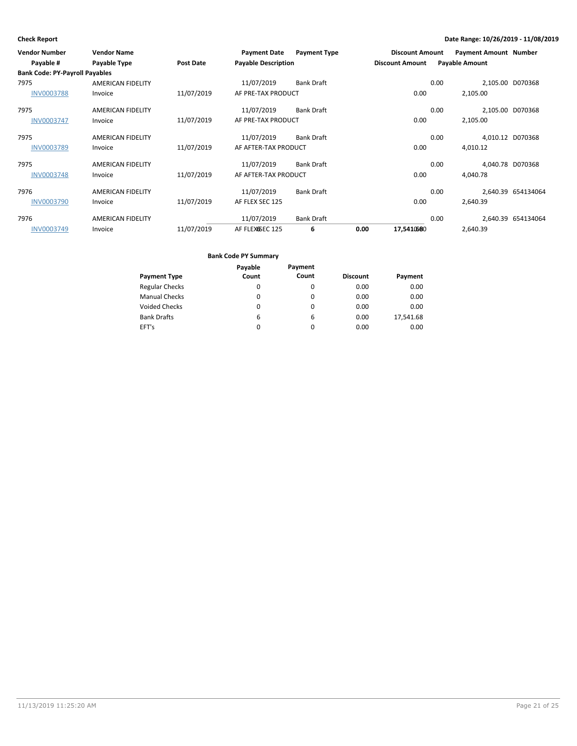| <b>Vendor Number</b>                  | <b>Vendor Name</b>       |                  | <b>Payment Date</b>        | <b>Payment Type</b> |      | <b>Discount Amount</b> |      | <b>Payment Amount Number</b> |                    |
|---------------------------------------|--------------------------|------------------|----------------------------|---------------------|------|------------------------|------|------------------------------|--------------------|
| Payable #                             | <b>Payable Type</b>      | <b>Post Date</b> | <b>Payable Description</b> |                     |      | <b>Discount Amount</b> |      | <b>Payable Amount</b>        |                    |
| <b>Bank Code: PY-Payroll Payables</b> |                          |                  |                            |                     |      |                        |      |                              |                    |
| 7975                                  | <b>AMERICAN FIDELITY</b> |                  | 11/07/2019                 | <b>Bank Draft</b>   |      |                        | 0.00 | 2,105.00 D070368             |                    |
| <b>INV0003788</b>                     | Invoice                  | 11/07/2019       | AF PRE-TAX PRODUCT         |                     |      | 0.00                   |      | 2,105.00                     |                    |
| 7975                                  | <b>AMERICAN FIDELITY</b> |                  | 11/07/2019                 | <b>Bank Draft</b>   |      |                        | 0.00 | 2,105.00 D070368             |                    |
| <b>INV0003747</b>                     | Invoice                  | 11/07/2019       | AF PRE-TAX PRODUCT         |                     |      | 0.00                   |      | 2,105.00                     |                    |
| 7975                                  | <b>AMERICAN FIDELITY</b> |                  | 11/07/2019                 | <b>Bank Draft</b>   |      |                        | 0.00 | 4,010.12 D070368             |                    |
| <b>INV0003789</b>                     | Invoice                  | 11/07/2019       | AF AFTER-TAX PRODUCT       |                     |      | 0.00                   |      | 4,010.12                     |                    |
| 7975                                  | <b>AMERICAN FIDELITY</b> |                  | 11/07/2019                 | <b>Bank Draft</b>   |      |                        | 0.00 | 4.040.78 D070368             |                    |
| <b>INV0003748</b>                     | Invoice                  | 11/07/2019       | AF AFTER-TAX PRODUCT       |                     |      | 0.00                   |      | 4,040.78                     |                    |
| 7976                                  | <b>AMERICAN FIDELITY</b> |                  | 11/07/2019                 | <b>Bank Draft</b>   |      |                        | 0.00 |                              | 2,640.39 654134064 |
| <b>INV0003790</b>                     | Invoice                  | 11/07/2019       | AF FLEX SEC 125            |                     |      | 0.00                   |      | 2,640.39                     |                    |
| 7976                                  | AMERICAN FIDELITY        |                  | 11/07/2019                 | <b>Bank Draft</b>   |      |                        | 0.00 |                              | 2,640.39 654134064 |
| INV0003749                            | Invoice                  | 11/07/2019       | AF FLEXGSEC 125            | 6                   | 0.00 | 17,5410680             |      | 2,640.39                     |                    |

|                       | Payable  | Payment  |                 |           |
|-----------------------|----------|----------|-----------------|-----------|
| <b>Payment Type</b>   | Count    | Count    | <b>Discount</b> | Payment   |
| <b>Regular Checks</b> | 0        | 0        | 0.00            | 0.00      |
| <b>Manual Checks</b>  | 0        | $\Omega$ | 0.00            | 0.00      |
| <b>Voided Checks</b>  | $\Omega$ | $\Omega$ | 0.00            | 0.00      |
| <b>Bank Drafts</b>    | 6        | 6        | 0.00            | 17,541.68 |
| EFT's                 | 0        | 0        | 0.00            | 0.00      |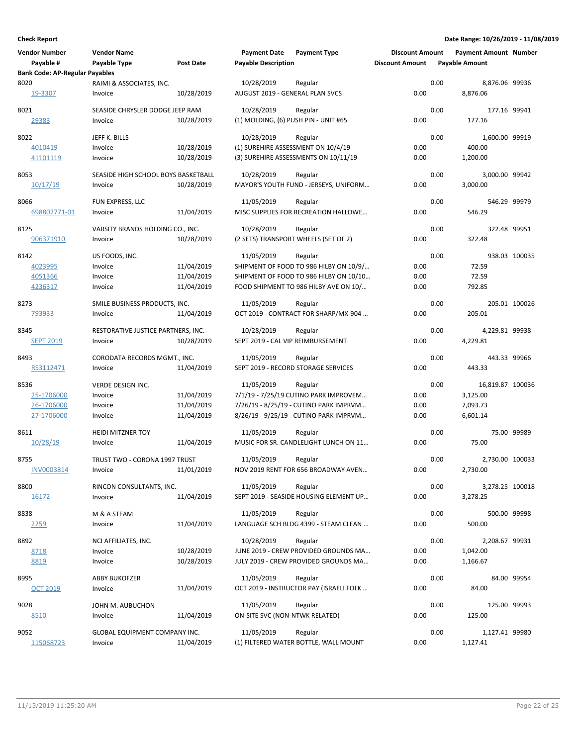| <b>Vendor Number</b>                               | <b>Vendor Name</b>                  |                  | <b>Payment Date</b>                  | <b>Payment Type</b>                     | <b>Discount Amount</b> |      | <b>Payment Amount Number</b> |               |
|----------------------------------------------------|-------------------------------------|------------------|--------------------------------------|-----------------------------------------|------------------------|------|------------------------------|---------------|
| Payable #<br><b>Bank Code: AP-Regular Payables</b> | Payable Type                        | <b>Post Date</b> | <b>Payable Description</b>           |                                         | <b>Discount Amount</b> |      | <b>Payable Amount</b>        |               |
| 8020                                               | RAIMI & ASSOCIATES, INC.            |                  | 10/28/2019                           | Regular                                 |                        | 0.00 | 8,876.06 99936               |               |
| 19-3307                                            | Invoice                             | 10/28/2019       | AUGUST 2019 - GENERAL PLAN SVCS      |                                         | 0.00                   |      | 8,876.06                     |               |
| 8021                                               | SEASIDE CHRYSLER DODGE JEEP RAM     |                  | 10/28/2019                           | Regular                                 |                        | 0.00 | 177.16 99941                 |               |
| 29383                                              | Invoice                             | 10/28/2019       | (1) MOLDING, (6) PUSH PIN - UNIT #65 |                                         | 0.00                   |      | 177.16                       |               |
| 8022                                               | JEFF K. BILLS                       |                  | 10/28/2019                           | Regular                                 |                        | 0.00 | 1,600.00 99919               |               |
| 4010419                                            | Invoice                             | 10/28/2019       |                                      | (1) SUREHIRE ASSESSMENT ON 10/4/19      | 0.00                   |      | 400.00                       |               |
| 41101119                                           | Invoice                             | 10/28/2019       |                                      | (3) SUREHIRE ASSESSMENTS ON 10/11/19    | 0.00                   |      | 1,200.00                     |               |
| 8053                                               | SEASIDE HIGH SCHOOL BOYS BASKETBALL |                  | 10/28/2019                           | Regular                                 |                        | 0.00 | 3,000.00 99942               |               |
| 10/17/19                                           | Invoice                             | 10/28/2019       |                                      | MAYOR'S YOUTH FUND - JERSEYS, UNIFORM   | 0.00                   |      | 3,000.00                     |               |
| 8066                                               | FUN EXPRESS, LLC                    |                  | 11/05/2019                           | Regular                                 |                        | 0.00 | 546.29 99979                 |               |
| 698802771-01                                       | Invoice                             | 11/04/2019       |                                      | MISC SUPPLIES FOR RECREATION HALLOWE    | 0.00                   |      | 546.29                       |               |
| 8125                                               | VARSITY BRANDS HOLDING CO., INC.    |                  | 10/28/2019                           | Regular                                 |                        | 0.00 | 322.48 99951                 |               |
| 906371910                                          | Invoice                             | 10/28/2019       |                                      | (2 SETS) TRANSPORT WHEELS (SET OF 2)    | 0.00                   |      | 322.48                       |               |
| 8142                                               | US FOODS, INC.                      |                  | 11/05/2019                           | Regular                                 |                        | 0.00 |                              | 938.03 100035 |
| 4023995                                            | Invoice                             | 11/04/2019       |                                      | SHIPMENT OF FOOD TO 986 HILBY ON 10/9/  | 0.00                   |      | 72.59                        |               |
| 4051366                                            | Invoice                             | 11/04/2019       |                                      | SHIPMENT OF FOOD TO 986 HILBY ON 10/10  | 0.00                   |      | 72.59                        |               |
| 4236317                                            | Invoice                             | 11/04/2019       |                                      | FOOD SHIPMENT TO 986 HILBY AVE ON 10/   | 0.00                   |      | 792.85                       |               |
| 8273                                               | SMILE BUSINESS PRODUCTS, INC.       |                  | 11/05/2019                           | Regular                                 |                        | 0.00 |                              | 205.01 100026 |
| 793933                                             | Invoice                             | 11/04/2019       |                                      | OCT 2019 - CONTRACT FOR SHARP/MX-904    | 0.00                   |      | 205.01                       |               |
| 8345                                               | RESTORATIVE JUSTICE PARTNERS, INC.  |                  | 10/28/2019                           | Regular                                 |                        | 0.00 | 4,229.81 99938               |               |
| <b>SEPT 2019</b>                                   | Invoice                             | 10/28/2019       | SEPT 2019 - CAL VIP REIMBURSEMENT    |                                         | 0.00                   |      | 4,229.81                     |               |
| 8493                                               | CORODATA RECORDS MGMT., INC.        |                  | 11/05/2019                           | Regular                                 |                        | 0.00 | 443.33 99966                 |               |
| RS3112471                                          | Invoice                             | 11/04/2019       |                                      | SEPT 2019 - RECORD STORAGE SERVICES     | 0.00                   |      | 443.33                       |               |
| 8536                                               | VERDE DESIGN INC.                   |                  | 11/05/2019                           | Regular                                 |                        | 0.00 | 16,819.87 100036             |               |
| 25-1706000                                         | Invoice                             | 11/04/2019       |                                      | 7/1/19 - 7/25/19 CUTINO PARK IMPROVEM   | 0.00                   |      | 3,125.00                     |               |
| 26-1706000                                         | Invoice                             | 11/04/2019       |                                      | 7/26/19 - 8/25/19 - CUTINO PARK IMPRVM  | 0.00                   |      | 7,093.73                     |               |
| 27-1706000                                         | Invoice                             | 11/04/2019       |                                      | 8/26/19 - 9/25/19 - CUTINO PARK IMPRVM  | 0.00                   |      | 6,601.14                     |               |
| 8611                                               | <b>HEIDI MITZNER TOY</b>            |                  | 11/05/2019                           | Regular                                 |                        | 0.00 |                              | 75.00 99989   |
| 10/28/19                                           | Invoice                             | 11/04/2019       |                                      | MUSIC FOR SR. CANDLELIGHT LUNCH ON 11   | 0.00                   |      | 75.00                        |               |
| 8755                                               | TRUST TWO - CORONA 1997 TRUST       |                  | 11/05/2019                           | Regular                                 |                        | 0.00 | 2,730.00 100033              |               |
| INV0003814                                         | Invoice                             | 11/01/2019       |                                      | NOV 2019 RENT FOR 656 BROADWAY AVEN     | 0.00                   |      | 2,730.00                     |               |
| 8800                                               | RINCON CONSULTANTS, INC.            |                  | 11/05/2019                           | Regular                                 |                        | 0.00 | 3,278.25 100018              |               |
| 16172                                              | Invoice                             | 11/04/2019       |                                      | SEPT 2019 - SEASIDE HOUSING ELEMENT UP  | 0.00                   |      | 3,278.25                     |               |
| 8838                                               | M & A STEAM                         |                  | 11/05/2019                           | Regular                                 |                        | 0.00 | 500.00 99998                 |               |
| <u>2259</u>                                        | Invoice                             | 11/04/2019       |                                      | LANGUAGE SCH BLDG 4399 - STEAM CLEAN    | 0.00                   |      | 500.00                       |               |
| 8892                                               | NCI AFFILIATES, INC.                |                  | 10/28/2019                           | Regular                                 |                        | 0.00 | 2,208.67 99931               |               |
| 8718                                               | Invoice                             | 10/28/2019       |                                      | JUNE 2019 - CREW PROVIDED GROUNDS MA    | 0.00                   |      | 1,042.00                     |               |
| 8819                                               | Invoice                             | 10/28/2019       |                                      | JULY 2019 - CREW PROVIDED GROUNDS MA    | 0.00                   |      | 1,166.67                     |               |
| 8995                                               | <b>ABBY BUKOFZER</b>                |                  | 11/05/2019                           | Regular                                 |                        | 0.00 |                              | 84.00 99954   |
| OCT 2019                                           | Invoice                             | 11/04/2019       |                                      | OCT 2019 - INSTRUCTOR PAY (ISRAELI FOLK | 0.00                   |      | 84.00                        |               |
| 9028                                               | JOHN M. AUBUCHON                    |                  | 11/05/2019                           | Regular                                 |                        | 0.00 | 125.00 99993                 |               |
| 8510                                               | Invoice                             | 11/04/2019       | ON-SITE SVC (NON-NTWK RELATED)       |                                         | 0.00                   |      | 125.00                       |               |
| 9052                                               | GLOBAL EQUIPMENT COMPANY INC.       |                  | 11/05/2019                           | Regular                                 |                        | 0.00 | 1,127.41 99980               |               |
| 115068723                                          | Invoice                             | 11/04/2019       |                                      | (1) FILTERED WATER BOTTLE, WALL MOUNT   | 0.00                   |      | 1,127.41                     |               |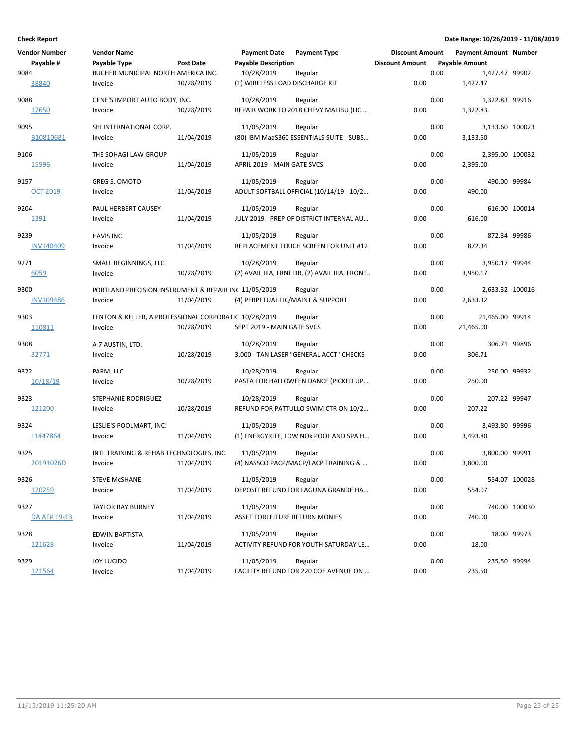| Vendor Number    | <b>Vendor Name</b>                                    |                  | <b>Payment Date</b>               | <b>Payment Type</b>                            | <b>Discount Amount</b> |      | <b>Payment Amount Number</b> |               |
|------------------|-------------------------------------------------------|------------------|-----------------------------------|------------------------------------------------|------------------------|------|------------------------------|---------------|
| Payable #        | Payable Type                                          | <b>Post Date</b> | <b>Payable Description</b>        |                                                | <b>Discount Amount</b> |      | <b>Payable Amount</b>        |               |
| 9084             | BUCHER MUNICIPAL NORTH AMERICA INC.                   |                  | 10/28/2019                        | Regular                                        |                        | 0.00 | 1,427.47 99902               |               |
| 38840            | Invoice                                               | 10/28/2019       | (1) WIRELESS LOAD DISCHARGE KIT   |                                                | 0.00                   |      | 1,427.47                     |               |
| 9088             | GENE'S IMPORT AUTO BODY, INC.                         |                  | 10/28/2019                        | Regular                                        |                        | 0.00 | 1,322.83 99916               |               |
| 17650            | Invoice                                               | 10/28/2019       |                                   | REPAIR WORK TO 2018 CHEVY MALIBU (LIC          | 0.00                   |      | 1,322.83                     |               |
| 9095             | SHI INTERNATIONAL CORP.                               |                  | 11/05/2019                        | Regular                                        |                        | 0.00 | 3,133.60 100023              |               |
| B10810681        | Invoice                                               | 11/04/2019       |                                   | (80) IBM MaaS360 ESSENTIALS SUITE - SUBS       | 0.00                   |      | 3,133.60                     |               |
| 9106             | THE SOHAGI LAW GROUP                                  |                  | 11/05/2019                        | Regular                                        |                        | 0.00 | 2,395.00 100032              |               |
| 15596            | Invoice                                               | 11/04/2019       | APRIL 2019 - MAIN GATE SVCS       |                                                | 0.00                   |      | 2,395.00                     |               |
| 9157             | <b>GREG S. OMOTO</b>                                  |                  | 11/05/2019                        | Regular                                        |                        | 0.00 | 490.00 99984                 |               |
| <b>OCT 2019</b>  | Invoice                                               | 11/04/2019       |                                   | ADULT SOFTBALL OFFICIAL (10/14/19 - 10/2       | 0.00                   |      | 490.00                       |               |
| 9204             | PAUL HERBERT CAUSEY                                   |                  | 11/05/2019                        | Regular                                        |                        | 0.00 |                              | 616.00 100014 |
| 1391             | Invoice                                               | 11/04/2019       |                                   | JULY 2019 - PREP OF DISTRICT INTERNAL AU       | 0.00                   |      | 616.00                       |               |
| 9239             | HAVIS INC.                                            |                  | 11/05/2019                        | Regular                                        |                        | 0.00 | 872.34 99986                 |               |
| <b>INV140409</b> | Invoice                                               | 11/04/2019       |                                   | REPLACEMENT TOUCH SCREEN FOR UNIT #12          | 0.00                   |      | 872.34                       |               |
| 9271             | SMALL BEGINNINGS, LLC                                 |                  | 10/28/2019                        | Regular                                        |                        | 0.00 | 3,950.17 99944               |               |
| 6059             | Invoice                                               | 10/28/2019       |                                   | (2) AVAIL IIIA, FRNT DR, (2) AVAIL IIIA, FRONT | 0.00                   |      | 3,950.17                     |               |
| 9300             | PORTLAND PRECISION INSTRUMENT & REPAIR IN( 11/05/2019 |                  |                                   | Regular                                        |                        | 0.00 | 2,633.32 100016              |               |
| <b>INV109486</b> | Invoice                                               | 11/04/2019       | (4) PERPETUAL LIC/MAINT & SUPPORT |                                                | 0.00                   |      | 2,633.32                     |               |
| 9303             | FENTON & KELLER, A PROFESSIONAL CORPORATIC 10/28/2019 |                  |                                   | Regular                                        |                        | 0.00 | 21,465.00 99914              |               |
| 110811           | Invoice                                               | 10/28/2019       | SEPT 2019 - MAIN GATE SVCS        |                                                | 0.00                   |      | 21,465.00                    |               |
| 9308             | A-7 AUSTIN, LTD.                                      |                  | 10/28/2019                        | Regular                                        |                        | 0.00 | 306.71 99896                 |               |
| 32771            | Invoice                                               | 10/28/2019       |                                   | 3,000 - TAN LASER "GENERAL ACCT" CHECKS        | 0.00                   |      | 306.71                       |               |
| 9322             | PARM, LLC                                             |                  | 10/28/2019                        | Regular                                        |                        | 0.00 | 250.00 99932                 |               |
| 10/18/19         | Invoice                                               | 10/28/2019       |                                   | PASTA FOR HALLOWEEN DANCE (PICKED UP           | 0.00                   |      | 250.00                       |               |
| 9323             | STEPHANIE RODRIGUEZ                                   |                  | 10/28/2019                        | Regular                                        |                        | 0.00 | 207.22 99947                 |               |
| 121200           | Invoice                                               | 10/28/2019       |                                   | REFUND FOR PATTULLO SWIM CTR ON 10/2           | 0.00                   |      | 207.22                       |               |
| 9324             | LESLIE'S POOLMART, INC.                               |                  | 11/05/2019                        | Regular                                        |                        | 0.00 | 3,493.80 99996               |               |
| L1447864         | Invoice                                               | 11/04/2019       |                                   | (1) ENERGYRITE, LOW NOx POOL AND SPA H         | 0.00                   |      | 3,493.80                     |               |
| 9325             | INTL TRAINING & REHAB TECHNOLOGIES, INC.              |                  | 11/05/2019                        | Regular                                        |                        | 0.00 | 3,800.00 99991               |               |
| 20191026D        | Invoice                                               | 11/04/2019       |                                   | (4) NASSCO PACP/MACP/LACP TRAINING &           | 0.00                   |      | 3,800.00                     |               |
| 9326             | <b>STEVE MCSHANE</b>                                  |                  | 11/05/2019                        | Regular                                        |                        | 0.00 |                              | 554.07 100028 |
| 120259           | Invoice                                               | 11/04/2019       |                                   | DEPOSIT REFUND FOR LAGUNA GRANDE HA            | 0.00                   |      | 554.07                       |               |
| 9327             | <b>TAYLOR RAY BURNEY</b>                              |                  | 11/05/2019                        | Regular                                        |                        | 0.00 |                              | 740.00 100030 |
| DA AF# 19-13     | Invoice                                               | 11/04/2019       | ASSET FORFEITURE RETURN MONIES    |                                                | 0.00                   |      | 740.00                       |               |
| 9328             | <b>EDWIN BAPTISTA</b>                                 |                  | 11/05/2019                        | Regular                                        |                        | 0.00 |                              | 18.00 99973   |
| 121628           | Invoice                                               | 11/04/2019       |                                   | ACTIVITY REFUND FOR YOUTH SATURDAY LE          | 0.00                   |      | 18.00                        |               |
| 9329             | JOY LUCIDO                                            |                  | 11/05/2019                        | Regular                                        |                        | 0.00 | 235.50 99994                 |               |
| 121564           | Invoice                                               | 11/04/2019       |                                   | FACILITY REFUND FOR 220 COE AVENUE ON          | 0.00                   |      | 235.50                       |               |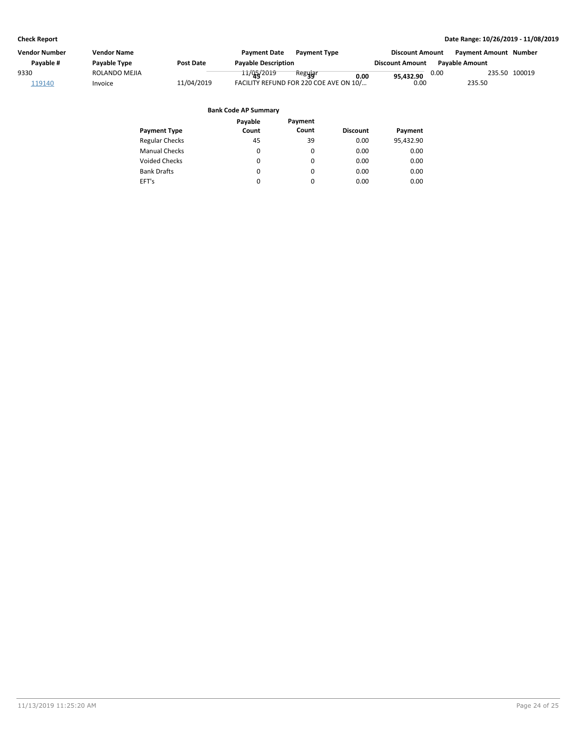| Vendor Number | <b>Vendor Name</b> |            | <b>Payment Date</b>         | <b>Payment Type</b>                    | <b>Discount Amount</b> |      | <b>Payment Amount Number</b> |               |
|---------------|--------------------|------------|-----------------------------|----------------------------------------|------------------------|------|------------------------------|---------------|
| Payable #     | Payable Type       | Post Date  | <b>Payable Description</b>  |                                        | <b>Discount Amount</b> |      | <b>Pavable Amount</b>        |               |
| 9330          | ROLANDO MEJIA      |            | 11/02/2019                  | Regujar<br>0.00                        | 95,432.90              | 0.00 |                              | 235.50 100019 |
| 119140        | Invoice            | 11/04/2019 |                             | FACILITY REFUND FOR 220 COE AVE ON 10/ | 0.00                   |      | 235.50                       |               |
|               |                    |            | <b>Bank Code AP Summary</b> |                                        |                        |      |                              |               |
|               |                    |            | Pavable                     | Payment                                |                        |      |                              |               |

|                       | rayaule | гаушсин |                 |           |
|-----------------------|---------|---------|-----------------|-----------|
| <b>Payment Type</b>   | Count   | Count   | <b>Discount</b> | Payment   |
| <b>Regular Checks</b> | 45      | 39      | 0.00            | 95,432.90 |
| <b>Manual Checks</b>  | 0       | 0       | 0.00            | 0.00      |
| <b>Voided Checks</b>  | 0       | 0       | 0.00            | 0.00      |
| <b>Bank Drafts</b>    | 0       | 0       | 0.00            | 0.00      |
| EFT's                 | 0       | 0       | 0.00            | 0.00      |
|                       |         |         |                 |           |